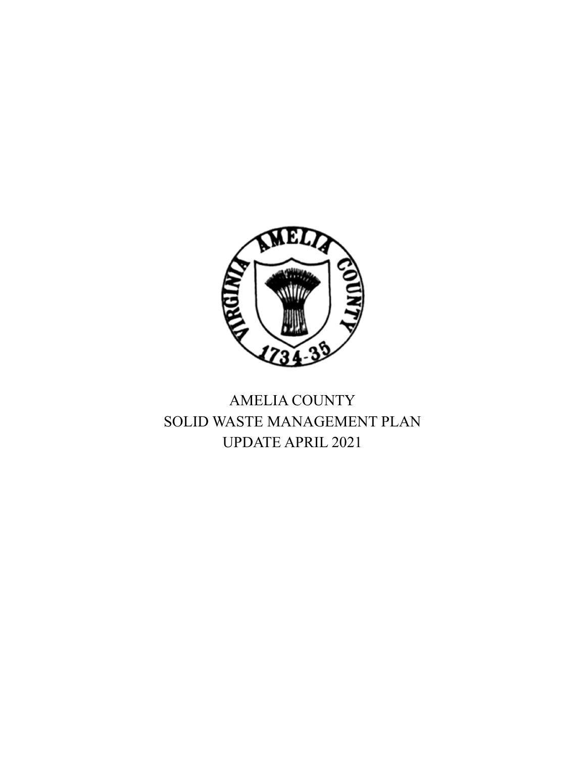

# AMELIA COUNTY SOLID WASTE MANAGEMENT PLAN UPDATE APRIL 2021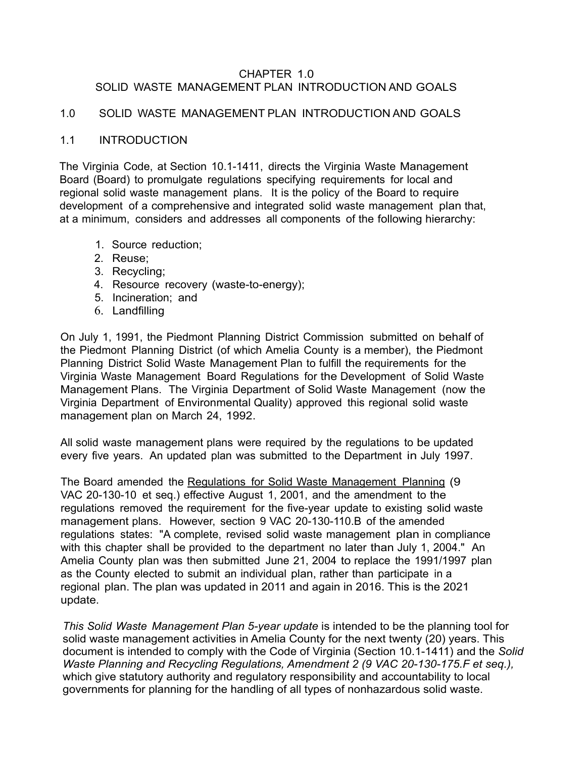#### CHAPTER 1.0 SOLID WASTE MANAGEMENT PLAN INTRODUCTION AND GOALS

#### 1.0 SOLID WASTE MANAGEMENT PLAN INTRODUCTION AND GOALS

#### 1.1 INTRODUCTION

The Virginia Code, at Section 10.1-1411, directs the Virginia Waste Management Board (Board) to promulgate regulations specifying requirements for local and regional solid waste management plans. It is the policy of the Board to require development of a comprehensive and integrated solid waste management plan that, at a minimum, considers and addresses all components of the following hierarchy:

- 1. Source reduction;
- 2. Reuse;
- 3. Recycling;
- 4. Resource recovery (waste-to-energy);
- 5. Incineration; and
- 6. Landfilling

On July 1, 1991, the Piedmont Planning District Commission submitted on behalf of the Piedmont Planning District (of which Amelia County is a member), the Piedmont Planning District Solid Waste Management Plan to fulfill the requirements for the Virginia Waste Management Board Regulations for the Development of Solid Waste Management Plans. The Virginia Department of Solid Waste Management (now the Virginia Department of Environmental Quality) approved this regional solid waste management plan on March 24, 1992.

All solid waste management plans were required by the regulations to be updated every five years. An updated plan was submitted to the Department in July 1997.

The Board amended the Regulations for Solid Waste Management Planning (9 VAC 20-130-10 et seq.) effective August 1, 2001, and the amendment to the regulations removed the requirement for the five-year update to existing solid waste management plans. However, section 9 VAC 20-130-110.B of the amended regulations states: "A complete, revised solid waste management plan in compliance with this chapter shall be provided to the department no later than July 1, 2004." An Amelia County plan was then submitted June 21, 2004 to replace the 1991/1997 plan as the County elected to submit an individual plan, rather than participate in a regional plan. The plan was updated in 2011 and again in 2016. This is the 2021 update.

*This Solid Waste Management Plan 5-year update* is intended to be the planning tool for solid waste management activities in Amelia County for the next twenty (20) years. This document is intended to comply with the Code of Virginia (Section 10.1-1411) and the *Solid Waste Planning and Recycling Regulations, Amendment 2 (9 VAC 20-130-175.F et seq.),*  which give statutory authority and regulatory responsibility and accountability to local governments for planning for the handling of all types of nonhazardous solid waste.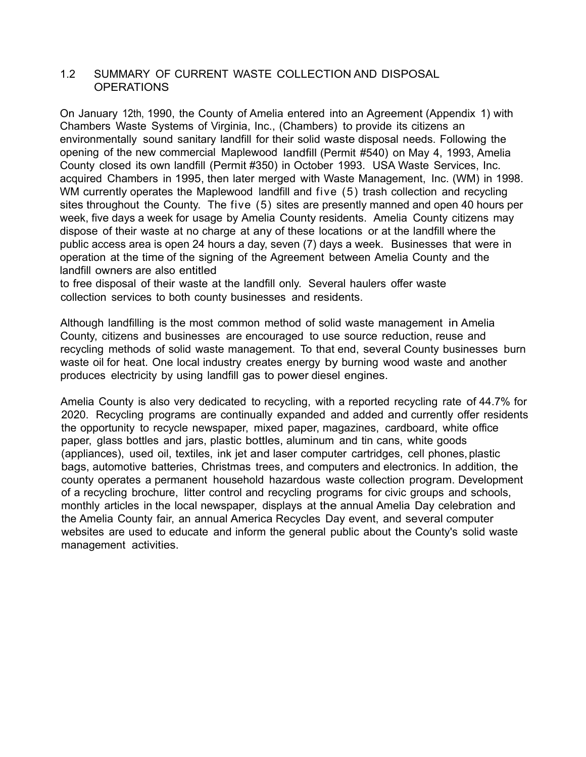#### 1.2 SUMMARY OF CURRENT WASTE COLLECTION AND DISPOSAL OPERATIONS

On January 12th, 1990, the County of Amelia entered into an Agreement (Appendix 1) with Chambers Waste Systems of Virginia, Inc., (Chambers) to provide its citizens an environmentally sound sanitary landfill for their solid waste disposal needs. Following the opening of the new commercial Maplewood landfill (Permit #540) on May 4, 1993, Amelia County closed its own landfill (Permit #350) in October 1993. USA Waste Services, Inc. acquired Chambers in 1995, then later merged with Waste Management, Inc. (WM) in 1998. WM currently operates the Maplewood landfill and five (5) trash collection and recycling sites throughout the County. The five (5) sites are presently manned and open 40 hours per week, five days a week for usage by Amelia County residents. Amelia County citizens may dispose of their waste at no charge at any of these locations or at the landfill where the public access area is open 24 hours a day, seven (7) days a week. Businesses that were in operation at the time of the signing of the Agreement between Amelia County and the landfill owners are also entitled

to free disposal of their waste at the landfill only. Several haulers offer waste collection services to both county businesses and residents.

Although landfilling is the most common method of solid waste management in Amelia County, citizens and businesses are encouraged to use source reduction, reuse and recycling methods of solid waste management. To that end, several County businesses burn waste oil for heat. One local industry creates energy by burning wood waste and another produces electricity by using landfill gas to power diesel engines.

Amelia County is also very dedicated to recycling, with a reported recycling rate of 44.7% for 2020. Recycling programs are continually expanded and added and currently offer residents the opportunity to recycle newspaper, mixed paper, magazines, cardboard, white office paper, glass bottles and jars, plastic bottles, aluminum and tin cans, white goods (appliances), used oil, textiles, ink jet and laser computer cartridges, cell phones, plastic bags, automotive batteries, Christmas trees, and computers and electronics. In addition, the county operates a permanent household hazardous waste collection program. Development of a recycling brochure, litter control and recycling programs for civic groups and schools, monthly articles in the local newspaper, displays at the annual Amelia Day celebration and the Amelia County fair, an annual America Recycles Day event, and several computer websites are used to educate and inform the general public about the County's solid waste management activities.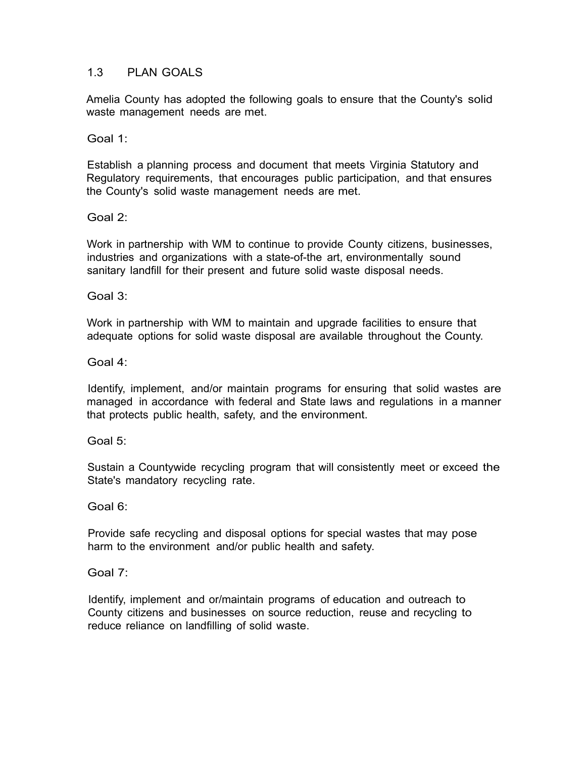## 1.3 PLAN GOALS

Amelia County has adopted the following goals to ensure that the County's solid waste management needs are met.

Goal 1:

Establish a planning process and document that meets Virginia Statutory and Regulatory requirements, that encourages public participation, and that ensures the County's solid waste management needs are met.

Goal 2:

Work in partnership with WM to continue to provide County citizens, businesses, industries and organizations with a state-of-the art, environmentally sound sanitary landfill for their present and future solid waste disposal needs.

Goal 3:

Work in partnership with WM to maintain and upgrade facilities to ensure that adequate options for solid waste disposal are available throughout the County.

Goal 4:

Identify, implement, and/or maintain programs for ensuring that solid wastes are managed in accordance with federal and State laws and regulations in a manner that protects public health, safety, and the environment.

Goal 5:

Sustain a Countywide recycling program that will consistently meet or exceed the State's mandatory recycling rate.

Goal 6:

Provide safe recycling and disposal options for special wastes that may pose harm to the environment and/or public health and safety.

Goal 7:

Identify, implement and or/maintain programs of education and outreach to County citizens and businesses on source reduction, reuse and recycling to reduce reliance on landfilling of solid waste.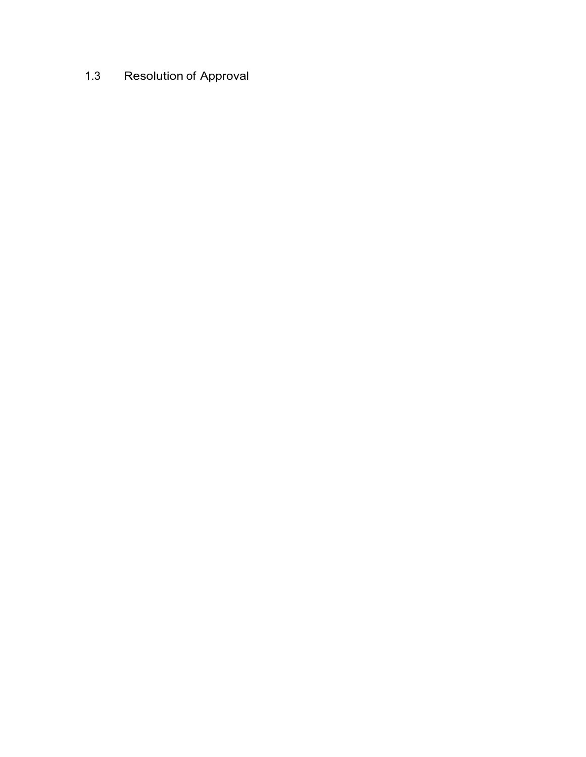# 1.3 Resolution of Approval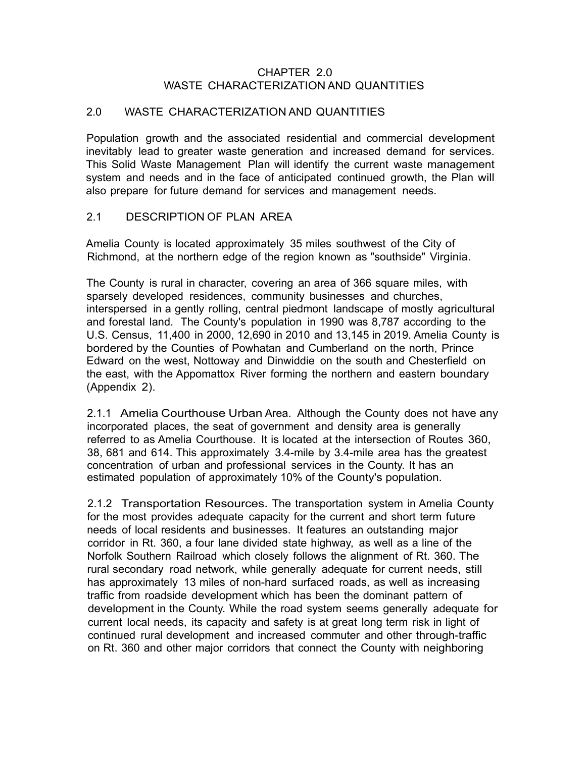#### CHAPTER 2.0 WASTE CHARACTERIZATION AND QUANTITIES

#### 2.0 WASTE CHARACTERIZATION AND QUANTITIES

Population growth and the associated residential and commercial development inevitably lead to greater waste generation and increased demand for services. This Solid Waste Management Plan will identify the current waste management system and needs and in the face of anticipated continued growth, the Plan will also prepare for future demand for services and management needs.

#### 2.1 DESCRIPTION OF PLAN AREA

Amelia County is located approximately 35 miles southwest of the City of Richmond, at the northern edge of the region known as "southside" Virginia.

The County is rural in character, covering an area of 366 square miles, with sparsely developed residences, community businesses and churches, interspersed in a gently rolling, central piedmont landscape of mostly agricultural and forestal land. The County's population in 1990 was 8,787 according to the U.S. Census, 11,400 in 2000, 12,690 in 2010 and 13,145 in 2019. Amelia County is bordered by the Counties of Powhatan and Cumberland on the north, Prince Edward on the west, Nottoway and Dinwiddie on the south and Chesterfield on the east, with the Appomattox River forming the northern and eastern boundary (Appendix 2).

2.1.1 Amelia Courthouse Urban Area. Although the County does not have any incorporated places, the seat of government and density area is generally referred to as Amelia Courthouse. It is located at the intersection of Routes 360, 38, 681 and 614. This approximately 3.4-mile by 3.4-mile area has the greatest concentration of urban and professional services in the County. It has an estimated population of approximately 10% of the County's population.

2.1.2 Transportation Resources. The transportation system in Amelia County for the most provides adequate capacity for the current and short term future needs of local residents and businesses. It features an outstanding major corridor in Rt. 360, a four lane divided state highway, as well as a line of the Norfolk Southern Railroad which closely follows the alignment of Rt. 360. The rural secondary road network, while generally adequate for current needs, still has approximately 13 miles of non-hard surfaced roads, as well as increasing traffic from roadside development which has been the dominant pattern of development in the County. While the road system seems generally adequate for current local needs, its capacity and safety is at great long term risk in light of continued rural development and increased commuter and other through-traffic on Rt. 360 and other major corridors that connect the County with neighboring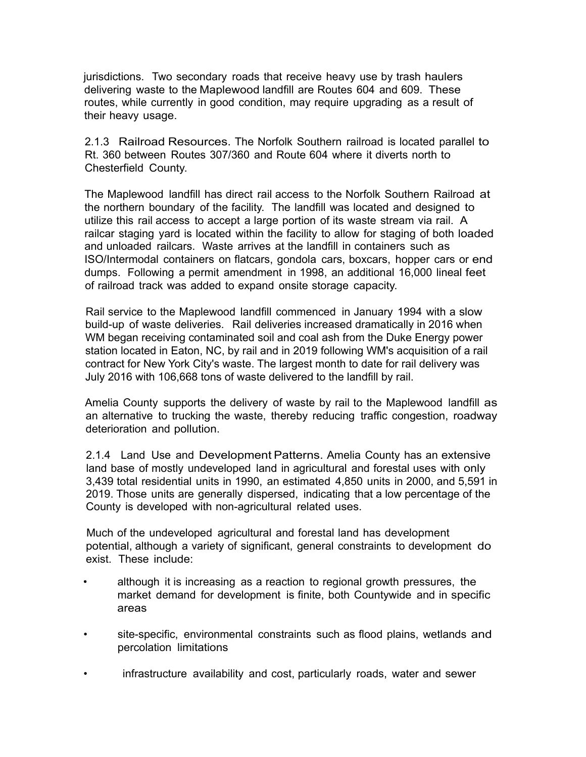jurisdictions. Two secondary roads that receive heavy use by trash haulers delivering waste to the Maplewood landfill are Routes 604 and 609. These routes, while currently in good condition, may require upgrading as a result of their heavy usage.

2.1.3 Railroad Resources. The Norfolk Southern railroad is located parallel to Rt. 360 between Routes 307/360 and Route 604 where it diverts north to Chesterfield County.

The Maplewood landfill has direct rail access to the Norfolk Southern Railroad at the northern boundary of the facility. The landfill was located and designed to utilize this rail access to accept a large portion of its waste stream via rail. A railcar staging yard is located within the facility to allow for staging of both loaded and unloaded railcars. Waste arrives at the landfill in containers such as ISO/Intermodal containers on flatcars, gondola cars, boxcars, hopper cars or end dumps. Following a permit amendment in 1998, an additional 16,000 lineal feet of railroad track was added to expand onsite storage capacity.

Rail service to the Maplewood landfill commenced in January 1994 with a slow build-up of waste deliveries. Rail deliveries increased dramatically in 2016 when WM began receiving contaminated soil and coal ash from the Duke Energy power station located in Eaton, NC, by rail and in 2019 following WM's acquisition of a rail contract for New York City's waste. The largest month to date for rail delivery was July 2016 with 106,668 tons of waste delivered to the landfill by rail.

Amelia County supports the delivery of waste by rail to the Maplewood landfill as an alternative to trucking the waste, thereby reducing traffic congestion, roadway deterioration and pollution.

2.1.4 Land Use and Development Patterns. Amelia County has an extensive land base of mostly undeveloped land in agricultural and forestal uses with only 3,439 total residential units in 1990, an estimated 4,850 units in 2000, and 5,591 in 2019. Those units are generally dispersed, indicating that a low percentage of the County is developed with non-agricultural related uses.

Much of the undeveloped agricultural and forestal land has development potential, although a variety of significant, general constraints to development do exist. These include:

- although it is increasing as a reaction to regional growth pressures, the market demand for development is finite, both Countywide and in specific areas
- site-specific, environmental constraints such as flood plains, wetlands and percolation limitations
- infrastructure availability and cost, particularly roads, water and sewer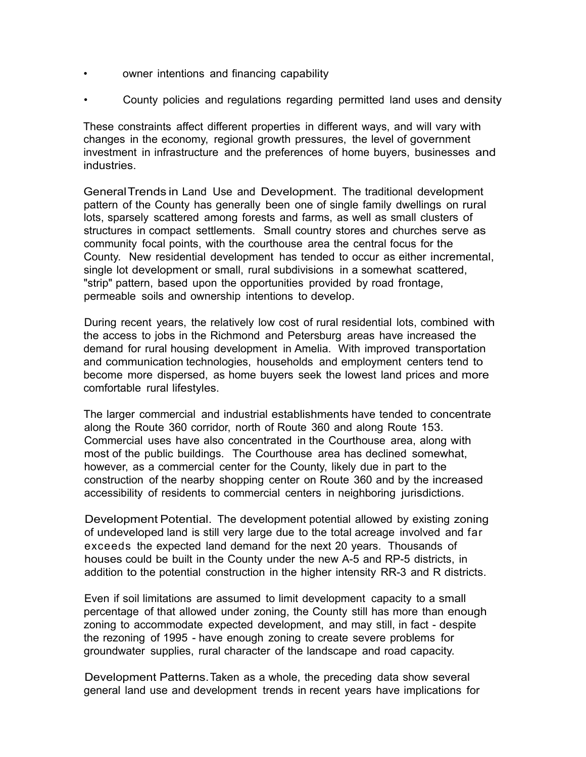- owner intentions and financing capability
- County policies and regulations regarding permitted land uses and density

These constraints affect different properties in different ways, and will vary with changes in the economy, regional growth pressures, the level of government investment in infrastructure and the preferences of home buyers, businesses and industries.

GeneralTrends in Land Use and Development. The traditional development pattern of the County has generally been one of single family dwellings on rural lots, sparsely scattered among forests and farms, as well as small clusters of structures in compact settlements. Small country stores and churches serve as community focal points, with the courthouse area the central focus for the County. New residential development has tended to occur as either incremental, single lot development or small, rural subdivisions in a somewhat scattered, "strip" pattern, based upon the opportunities provided by road frontage, permeable soils and ownership intentions to develop.

During recent years, the relatively low cost of rural residential lots, combined with the access to jobs in the Richmond and Petersburg areas have increased the demand for rural housing development in Amelia. With improved transportation and communication technologies, households and employment centers tend to become more dispersed, as home buyers seek the lowest land prices and more comfortable rural lifestyles.

The larger commercial and industrial establishments have tended to concentrate along the Route 360 corridor, north of Route 360 and along Route 153. Commercial uses have also concentrated in the Courthouse area, along with most of the public buildings. The Courthouse area has declined somewhat, however, as a commercial center for the County, likely due in part to the construction of the nearby shopping center on Route 360 and by the increased accessibility of residents to commercial centers in neighboring jurisdictions.

Development Potential. The development potential allowed by existing zoning of undeveloped land is still very large due to the total acreage involved and far exceeds the expected land demand for the next 20 years. Thousands of houses could be built in the County under the new A-5 and RP-5 districts, in addition to the potential construction in the higher intensity RR-3 and R districts.

Even if soil limitations are assumed to limit development capacity to a small percentage of that allowed under zoning, the County still has more than enough zoning to accommodate expected development, and may still, in fact - despite the rezoning of 1995 - have enough zoning to create severe problems for groundwater supplies, rural character of the landscape and road capacity.

Development Patterns. Taken as a whole, the preceding data show several general land use and development trends in recent years have implications for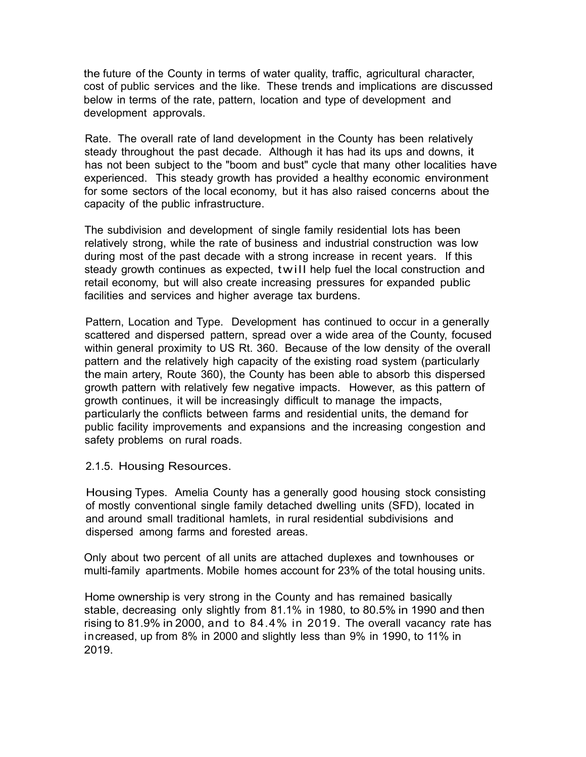the future of the County in terms of water quality, traffic, agricultural character, cost of public services and the like. These trends and implications are discussed below in terms of the rate, pattern, location and type of development and development approvals.

Rate. The overall rate of land development in the County has been relatively steady throughout the past decade. Although it has had its ups and downs, it has not been subject to the "boom and bust" cycle that many other localities have experienced. This steady growth has provided a healthy economic environment for some sectors of the local economy, but it has also raised concerns about the capacity of the public infrastructure.

The subdivision and development of single family residential lots has been relatively strong, while the rate of business and industrial construction was low during most of the past decade with a strong increase in recent years. If this steady growth continues as expected, twill help fuel the local construction and retail economy, but will also create increasing pressures for expanded public facilities and services and higher average tax burdens.

Pattern, Location and Type. Development has continued to occur in a generally scattered and dispersed pattern, spread over a wide area of the County, focused within general proximity to US Rt. 360. Because of the low density of the overall pattern and the relatively high capacity of the existing road system (particularly the main artery, Route 360), the County has been able to absorb this dispersed growth pattern with relatively few negative impacts. However, as this pattern of growth continues, it will be increasingly difficult to manage the impacts, particularly the conflicts between farms and residential units, the demand for public facility improvements and expansions and the increasing congestion and safety problems on rural roads.

#### 2.1.5. Housing Resources.

Housing Types. Amelia County has a generally good housing stock consisting of mostly conventional single family detached dwelling units (SFD), located in and around small traditional hamlets, in rural residential subdivisions and dispersed among farms and forested areas.

Only about two percent of all units are attached duplexes and townhouses or multi-family apartments. Mobile homes account for 23% of the total housing units.

Home ownership is very strong in the County and has remained basically stable, decreasing only slightly from 81.1% in 1980, to 80.5% in 1990 and then rising to 81.9% in 2000, and to 84.4% in 2019. The overall vacancy rate has increased, up from 8% in 2000 and slightly less than 9% in 1990, to 11% in 2019.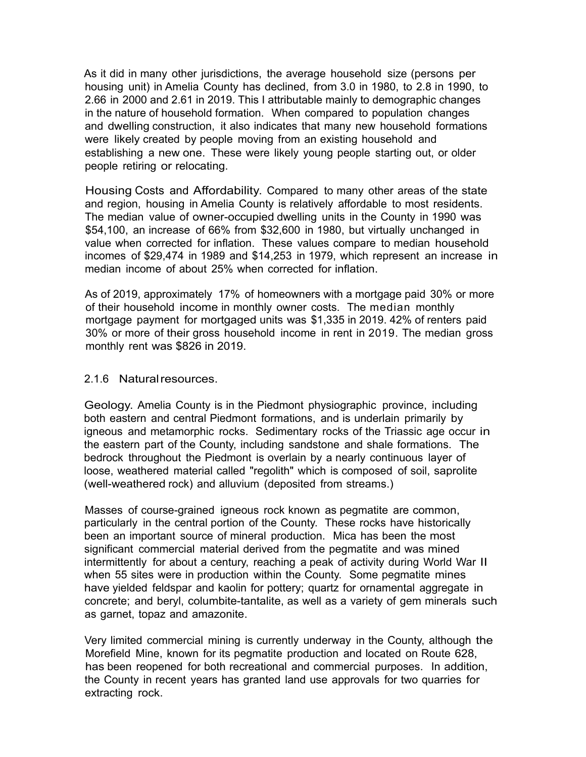As it did in many other jurisdictions, the average household size (persons per housing unit) in Amelia County has declined, from 3.0 in 1980, to 2.8 in 1990, to 2.66 in 2000 and 2.61 in 2019. This I attributable mainly to demographic changes in the nature of household formation. When compared to population changes and dwelling construction, it also indicates that many new household formations were likely created by people moving from an existing household and establishing a new one. These were likely young people starting out, or older people retiring or relocating.

Housing Costs and Affordability. Compared to many other areas of the state and region, housing in Amelia County is relatively affordable to most residents. The median value of owner-occupied dwelling units in the County in 1990 was \$54,100, an increase of 66% from \$32,600 in 1980, but virtually unchanged in value when corrected for inflation. These values compare to median household incomes of \$29,474 in 1989 and \$14,253 in 1979, which represent an increase in median income of about 25% when corrected for inflation.

As of 2019, approximately 17% of homeowners with a mortgage paid 30% or more of their household income in monthly owner costs. The median monthly mortgage payment for mortgaged units was \$1,335 in 2019. 42% of renters paid 30% or more of their gross household income in rent in 2019. The median gross monthly rent was \$826 in 2019.

#### 2.1.6 Natural resources.

Geology. Amelia County is in the Piedmont physiographic province, including both eastern and central Piedmont formations, and is underlain primarily by igneous and metamorphic rocks. Sedimentary rocks of the Triassic age occur in the eastern part of the County, including sandstone and shale formations. The bedrock throughout the Piedmont is overlain by a nearly continuous layer of loose, weathered material called "regolith" which is composed of soil, saprolite (well-weathered rock) and alluvium (deposited from streams.)

Masses of course-grained igneous rock known as pegmatite are common, particularly in the central portion of the County. These rocks have historically been an important source of mineral production. Mica has been the most significant commercial material derived from the pegmatite and was mined intermittently for about a century, reaching a peak of activity during World War II when 55 sites were in production within the County. Some pegmatite mines have yielded feldspar and kaolin for pottery; quartz for ornamental aggregate in concrete; and beryl, columbite-tantalite, as well as a variety of gem minerals such as garnet, topaz and amazonite.

Very limited commercial mining is currently underway in the County, although the Morefield Mine, known for its pegmatite production and located on Route 628, has been reopened for both recreational and commercial purposes. In addition, the County in recent years has granted land use approvals for two quarries for extracting rock.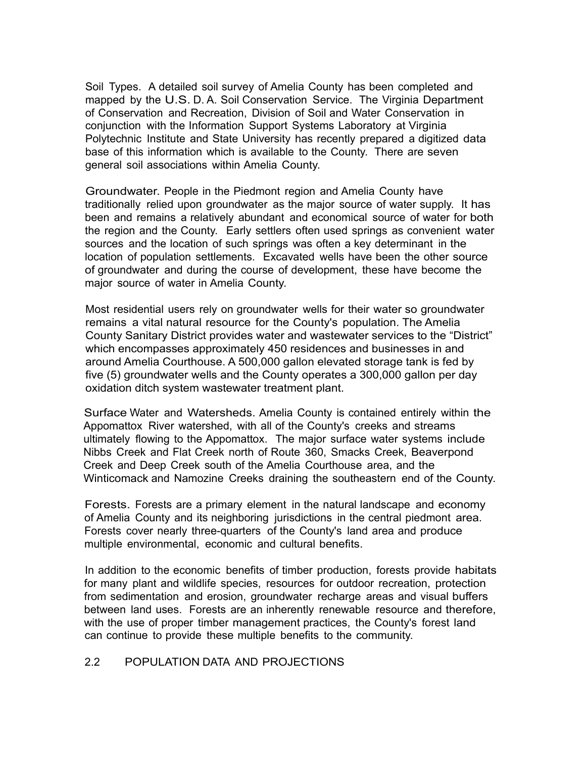Soil Types. A detailed soil survey of Amelia County has been completed and mapped by the U.S. D. A. Soil Conservation Service. The Virginia Department of Conservation and Recreation, Division of Soil and Water Conservation in conjunction with the Information Support Systems Laboratory at Virginia Polytechnic Institute and State University has recently prepared a digitized data base of this information which is available to the County. There are seven general soil associations within Amelia County.

Groundwater. People in the Piedmont region and Amelia County have traditionally relied upon groundwater as the major source of water supply. It has been and remains a relatively abundant and economical source of water for both the region and the County. Early settlers often used springs as convenient water sources and the location of such springs was often a key determinant in the location of population settlements. Excavated wells have been the other source of groundwater and during the course of development, these have become the major source of water in Amelia County.

Most residential users rely on groundwater wells for their water so groundwater remains a vital natural resource for the County's population. The Amelia County Sanitary District provides water and wastewater services to the "District" which encompasses approximately 450 residences and businesses in and around Amelia Courthouse. A 500,000 gallon elevated storage tank is fed by five (5) groundwater wells and the County operates a 300,000 gallon per day oxidation ditch system wastewater treatment plant.

Surface Water and Watersheds. Amelia County is contained entirely within the Appomattox River watershed, with all of the County's creeks and streams ultimately flowing to the Appomattox. The major surface water systems include Nibbs Creek and Flat Creek north of Route 360, Smacks Creek, Beaverpond Creek and Deep Creek south of the Amelia Courthouse area, and the Winticomack and Namozine Creeks draining the southeastern end of the County.

Forests. Forests are a primary element in the natural landscape and economy of Amelia County and its neighboring jurisdictions in the central piedmont area. Forests cover nearly three-quarters of the County's land area and produce multiple environmental, economic and cultural benefits.

In addition to the economic benefits of timber production, forests provide habitats for many plant and wildlife species, resources for outdoor recreation, protection from sedimentation and erosion, groundwater recharge areas and visual buffers between land uses. Forests are an inherently renewable resource and therefore, with the use of proper timber management practices, the County's forest land can continue to provide these multiple benefits to the community.

#### 2.2 POPULATION DATA AND PROJECTIONS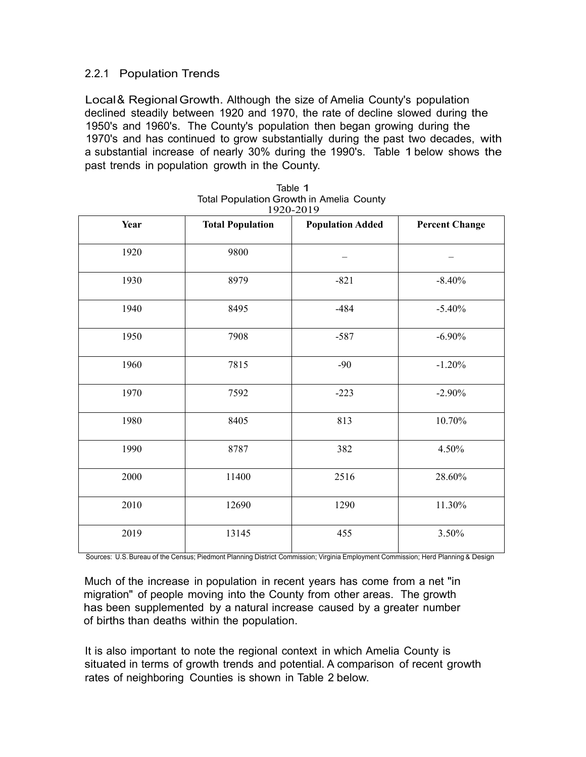## 2.2.1 Population Trends

Local & Regional Growth. Although the size of Amelia County's population declined steadily between 1920 and 1970, the rate of decline slowed during the 1950's and 1960's. The County's population then began growing during the 1970's and has continued to grow substantially during the past two decades, with a substantial increase of nearly 30% during the 1990's. Table 1 below shows the past trends in population growth in the County.

|      |                         | 1220 2012               |                       |  |  |
|------|-------------------------|-------------------------|-----------------------|--|--|
| Year | <b>Total Population</b> | <b>Population Added</b> | <b>Percent Change</b> |  |  |
| 1920 | 9800                    |                         |                       |  |  |
| 1930 | 8979                    | $-821$                  | $-8.40%$              |  |  |
| 1940 | 8495                    | $-484$                  | $-5.40%$              |  |  |
| 1950 | 7908                    | $-587$                  | $-6.90%$              |  |  |
| 1960 | 7815                    | $-90$                   | $-1.20%$              |  |  |
| 1970 | 7592                    | $-223$                  | $-2.90%$              |  |  |
| 1980 | 8405                    | 813                     | 10.70%                |  |  |
| 1990 | 8787                    | 382                     | 4.50%                 |  |  |
| 2000 | 11400                   | 2516                    | 28.60%                |  |  |
| 2010 | 12690                   | 1290<br>11.30%          |                       |  |  |
| 2019 | 13145                   | 455<br>3.50%            |                       |  |  |

| Table 1                                         |  |
|-------------------------------------------------|--|
| <b>Total Population Growth in Amelia County</b> |  |
| 1920-2019                                       |  |

Sources: U.S.Bureau of the Census; Piedmont Planning District Commission; Virginia Employment Commission; Herd Planning & Design

Much of the increase in population in recent years has come from a net "in migration" of people moving into the County from other areas. The growth has been supplemented by a natural increase caused by a greater number of births than deaths within the population.

It is also important to note the regional context in which Amelia County is situated in terms of growth trends and potential. A comparison of recent growth rates of neighboring Counties is shown in Table 2 below.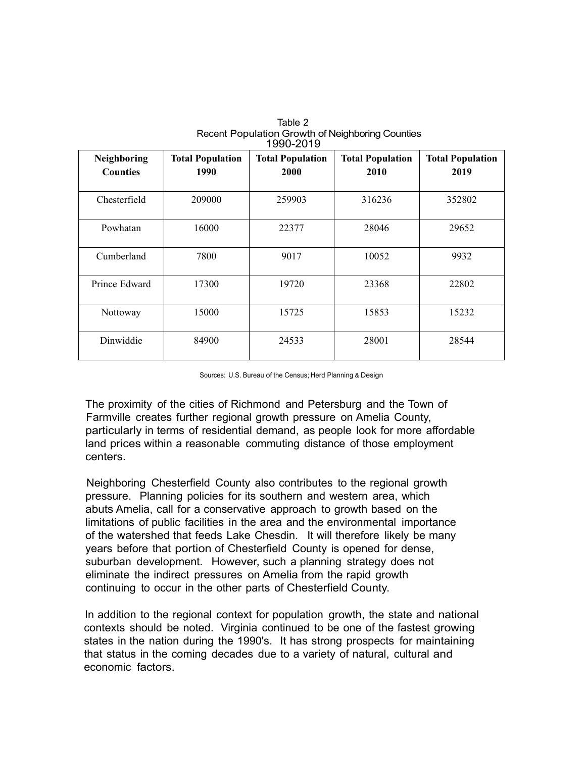| Neighboring<br><b>Counties</b> | <b>Total Population</b><br>1990 | <b>Total Population</b><br>2000 | <b>Total Population</b><br>2010 | <b>Total Population</b><br>2019 |
|--------------------------------|---------------------------------|---------------------------------|---------------------------------|---------------------------------|
| Chesterfield                   | 209000                          | 259903                          | 316236                          | 352802                          |
| Powhatan                       | 16000                           | 22377                           | 28046                           | 29652                           |
| Cumberland                     | 7800                            | 9017                            | 10052                           | 9932                            |
| Prince Edward                  | 17300                           | 19720                           | 23368                           | 22802                           |
| Nottoway                       | 15000                           | 15725                           | 15853                           | 15232                           |
| Dinwiddie                      | 84900                           | 24533                           | 28001                           | 28544                           |

Table 2 Recent Population Growth of Neighboring Counties 1000-2010

Sources: U.S. Bureau of the Census; Herd Planning & Design

The proximity of the cities of Richmond and Petersburg and the Town of Farmville creates further regional growth pressure on Amelia County, particularly in terms of residential demand, as people look for more affordable land prices within a reasonable commuting distance of those employment centers.

Neighboring Chesterfield County also contributes to the regional growth pressure. Planning policies for its southern and western area, which abuts Amelia, call for a conservative approach to growth based on the limitations of public facilities in the area and the environmental importance of the watershed that feeds Lake Chesdin. It will therefore likely be many years before that portion of Chesterfield County is opened for dense, suburban development. However, such a planning strategy does not eliminate the indirect pressures on Amelia from the rapid growth continuing to occur in the other parts of Chesterfield County.

In addition to the regional context for population growth, the state and national contexts should be noted. Virginia continued to be one of the fastest growing states in the nation during the 1990's. It has strong prospects for maintaining that status in the coming decades due to a variety of natural, cultural and economic factors.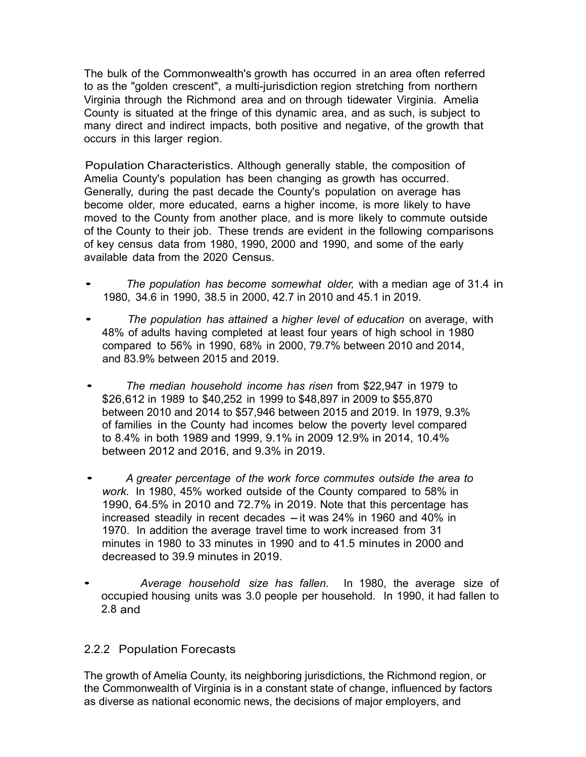The bulk of the Commonwealth's growth has occurred in an area often referred to as the "golden crescent", a multi-jurisdiction region stretching from northern Virginia through the Richmond area and on through tidewater Virginia. Amelia County is situated at the fringe of this dynamic area, and as such, is subject to many direct and indirect impacts, both positive and negative, of the growth that occurs in this larger region.

Population Characteristics. Although generally stable, the composition of Amelia County's population has been changing as growth has occurred. Generally, during the past decade the County's population on average has become older, more educated, earns a higher income, is more likely to have moved to the County from another place, and is more likely to commute outside of the County to their job. These trends are evident in the following comparisons of key census data from 1980, 1990, 2000 and 1990, and some of the early available data from the 2020 Census.

- *The population has become somewhat older,* with a median age of 31.4 in 1980, 34.6 in 1990, 38.5 in 2000, 42.7 in 2010 and 45.1 in 2019.
- *The population has attained* a *higher level of education* on average, with 48% of adults having completed at least four years of high school in 1980 compared to 56% in 1990, 68% in 2000, 79.7% between 2010 and 2014, and 83.9% between 2015 and 2019.
- *The median household income has risen* from \$22,947 in 1979 to \$26,612 in 1989 to \$40,252 in 1999 to \$48,897 in 2009 to \$55,870 between 2010 and 2014 to \$57,946 between 2015 and 2019. In 1979, 9.3% of families in the County had incomes below the poverty level compared to 8.4% in both 1989 and 1999, 9.1% in 2009 12.9% in 2014, 10.4% between 2012 and 2016, and 9.3% in 2019.
- *A greater percentage of the work force commutes outside the area to work.* In 1980, 45% worked outside of the County compared to 58% in 1990, 64.5% in 2010 and 72.7% in 2019. Note that this percentage has increased steadily in recent decades  $-$  it was 24% in 1960 and 40% in 1970. In addition the average travel time to work increased from 31 minutes in 1980 to 33 minutes in 1990 and to 41.5 minutes in 2000 and decreased to 39.9 minutes in 2019.
- *Average household size has fallen.* In 1980, the average size of occupied housing units was 3.0 people per household. In 1990, it had fallen to 2.8 and

# 2.2.2 Population Forecasts

The growth of Amelia County, its neighboring jurisdictions, the Richmond region, or the Commonwealth of Virginia is in a constant state of change, influenced by factors as diverse as national economic news, the decisions of major employers, and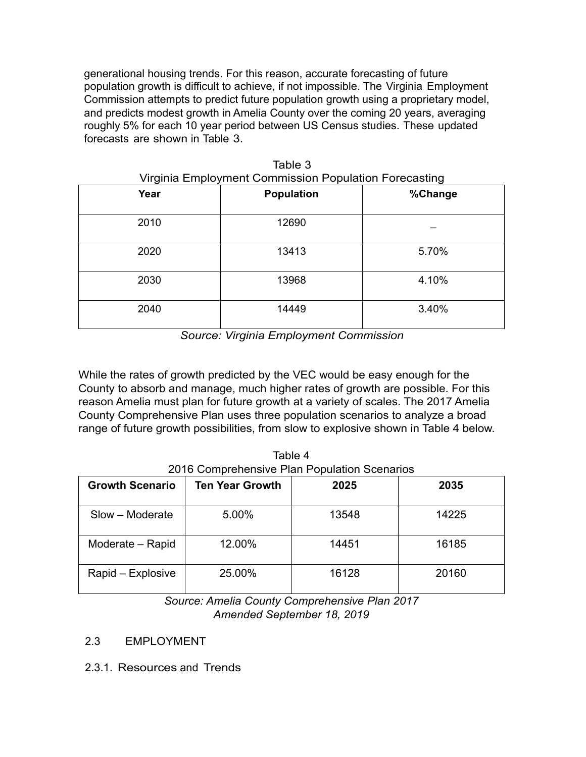generational housing trends. For this reason, accurate forecasting of future population growth is difficult to achieve, if not impossible. The Virginia Employment Commission attempts to predict future population growth using a proprietary model, and predicts modest growth in Amelia County over the coming 20 years, averaging roughly 5% for each 10 year period between US Census studies. These updated forecasts are shown in Table 3.

| Year | <b>Population</b> | %Change |
|------|-------------------|---------|
| 2010 | 12690             |         |
| 2020 | 13413             | 5.70%   |
| 2030 | 13968             | 4.10%   |
| 2040 | 14449             | 3.40%   |

Table 3 Virginia Employment Commission Population Forecasting

*Source: Virginia Employment Commission* 

While the rates of growth predicted by the VEC would be easy enough for the County to absorb and manage, much higher rates of growth are possible. For this reason Amelia must plan for future growth at a variety of scales. The 2017 Amelia County Comprehensive Plan uses three population scenarios to analyze a broad range of future growth possibilities, from slow to explosive shown in Table 4 below.

| Table 4                                      |
|----------------------------------------------|
| 2016 Comprehensive Plan Population Scenarios |

| <b>Growth Scenario</b> | <b>Ten Year Growth</b> | 2025  | 2035  |
|------------------------|------------------------|-------|-------|
| Slow - Moderate        | 5.00%                  | 13548 | 14225 |
| Moderate - Rapid       | 12.00%                 | 14451 | 16185 |
| Rapid – Explosive      | 25.00%                 | 16128 | 20160 |

*Source: Amelia County Comprehensive Plan 2017 Amended September 18, 2019* 

- 2.3 EMPLOYMENT
- 2.3.1. Resources and Trends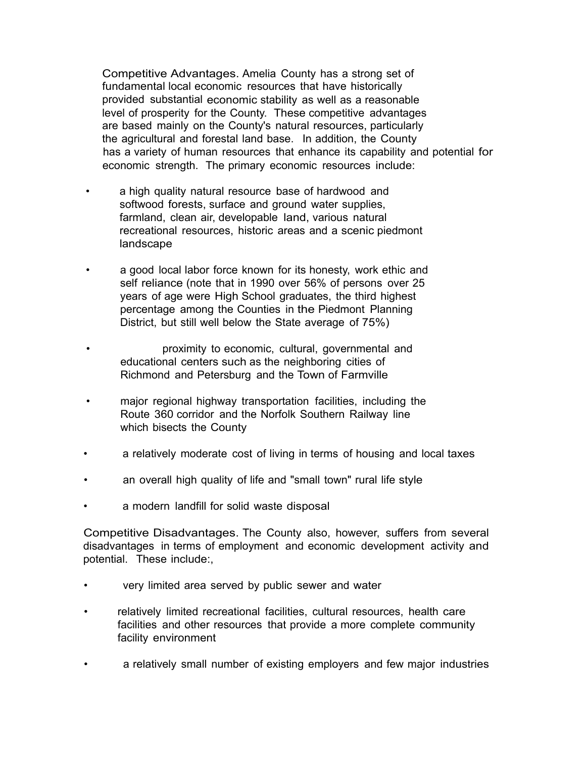Competitive Advantages. Amelia County has a strong set of fundamental local economic resources that have historically provided substantial economic stability as well as a reasonable level of prosperity for the County. These competitive advantages are based mainly on the County's natural resources, particularly the agricultural and forestal land base. In addition, the County has a variety of human resources that enhance its capability and potential for economic strength. The primary economic resources include:

- a high quality natural resource base of hardwood and softwood forests, surface and ground water supplies, farmland, clean air, developable land, various natural recreational resources, historic areas and a scenic piedmont landscape
- a good local labor force known for its honesty, work ethic and self reliance (note that in 1990 over 56% of persons over 25 years of age were High School graduates, the third highest percentage among the Counties in the Piedmont Planning District, but still well below the State average of 75%)
- proximity to economic, cultural, governmental and educational centers such as the neighboring cities of Richmond and Petersburg and the Town of Farmville
- major regional highway transportation facilities, including the Route 360 corridor and the Norfolk Southern Railway line which bisects the County
- a relatively moderate cost of living in terms of housing and local taxes
- an overall high quality of life and "small town" rural life style
- a modern landfill for solid waste disposal

Competitive Disadvantages. The County also, however, suffers from several disadvantages in terms of employment and economic development activity and potential. These include:,

- very limited area served by public sewer and water
- relatively limited recreational facilities, cultural resources, health care facilities and other resources that provide a more complete community facility environment
- a relatively small number of existing employers and few major industries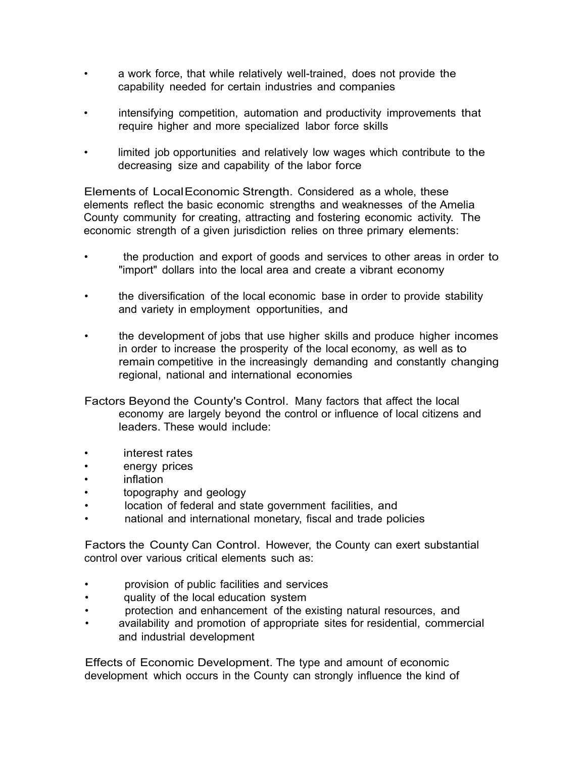- a work force, that while relatively well-trained, does not provide the capability needed for certain industries and companies
- intensifying competition, automation and productivity improvements that require higher and more specialized labor force skills
- limited job opportunities and relatively low wages which contribute to the decreasing size and capability of the labor force

Elements of LocalEconomic Strength. Considered as a whole, these elements reflect the basic economic strengths and weaknesses of the Amelia County community for creating, attracting and fostering economic activity. The economic strength of a given jurisdiction relies on three primary elements:

- the production and export of goods and services to other areas in order to "import" dollars into the local area and create a vibrant economy
- the diversification of the local economic base in order to provide stability and variety in employment opportunities, and
- the development of jobs that use higher skills and produce higher incomes in order to increase the prosperity of the local economy, as well as to remain competitive in the increasingly demanding and constantly changing regional, national and international economies

Factors Beyond the County's Control. Many factors that affect the local economy are largely beyond the control or influence of local citizens and leaders. These would include:

- interest rates
- energy prices
- inflation
- topography and geology
- location of federal and state government facilities, and
- national and international monetary, fiscal and trade policies

Factors the County Can Control. However, the County can exert substantial control over various critical elements such as:

- provision of public facilities and services
- quality of the local education system
- protection and enhancement of the existing natural resources, and
- availability and promotion of appropriate sites for residential, commercial and industrial development

Effects of Economic Development. The type and amount of economic development which occurs in the County can strongly influence the kind of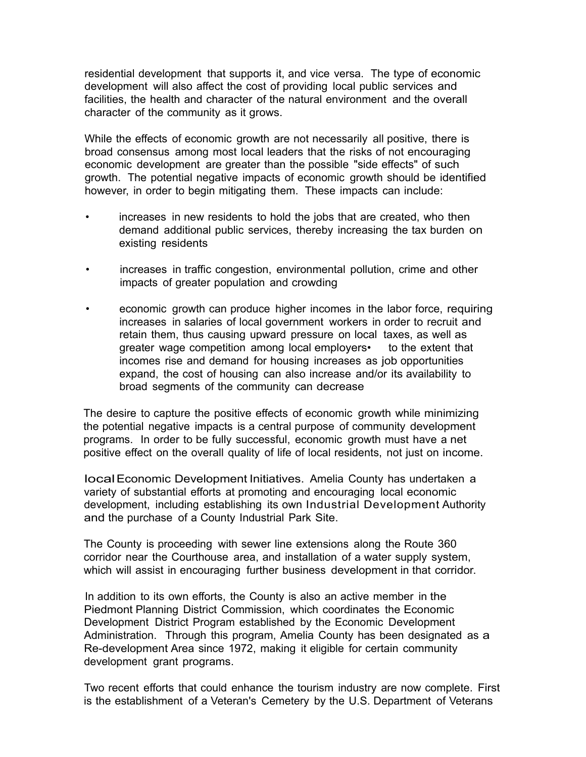residential development that supports it, and vice versa. The type of economic development will also affect the cost of providing local public services and facilities, the health and character of the natural environment and the overall character of the community as it grows.

While the effects of economic growth are not necessarily all positive, there is broad consensus among most local leaders that the risks of not encouraging economic development are greater than the possible "side effects" of such growth. The potential negative impacts of economic growth should be identified however, in order to begin mitigating them. These impacts can include:

- increases in new residents to hold the jobs that are created, who then demand additional public services, thereby increasing the tax burden on existing residents
- increases in traffic congestion, environmental pollution, crime and other impacts of greater population and crowding
- economic growth can produce higher incomes in the labor force, requiring increases in salaries of local government workers in order to recruit and retain them, thus causing upward pressure on local taxes, as well as greater wage competition among local employers• to the extent that incomes rise and demand for housing increases as job opportunities expand, the cost of housing can also increase and/or its availability to broad segments of the community can decrease

The desire to capture the positive effects of economic growth while minimizing the potential negative impacts is a central purpose of community development programs. In order to be fully successful, economic growth must have a net positive effect on the overall quality of life of local residents, not just on income.

localEconomic Development Initiatives. Amelia County has undertaken a variety of substantial efforts at promoting and encouraging local economic development, including establishing its own Industrial Development Authority and the purchase of a County Industrial Park Site.

The County is proceeding with sewer line extensions along the Route 360 corridor near the Courthouse area, and installation of a water supply system, which will assist in encouraging further business development in that corridor.

In addition to its own efforts, the County is also an active member in the Piedmont Planning District Commission, which coordinates the Economic Development District Program established by the Economic Development Administration. Through this program, Amelia County has been designated as a Re-development Area since 1972, making it eligible for certain community development grant programs.

Two recent efforts that could enhance the tourism industry are now complete. First is the establishment of a Veteran's Cemetery by the U.S. Department of Veterans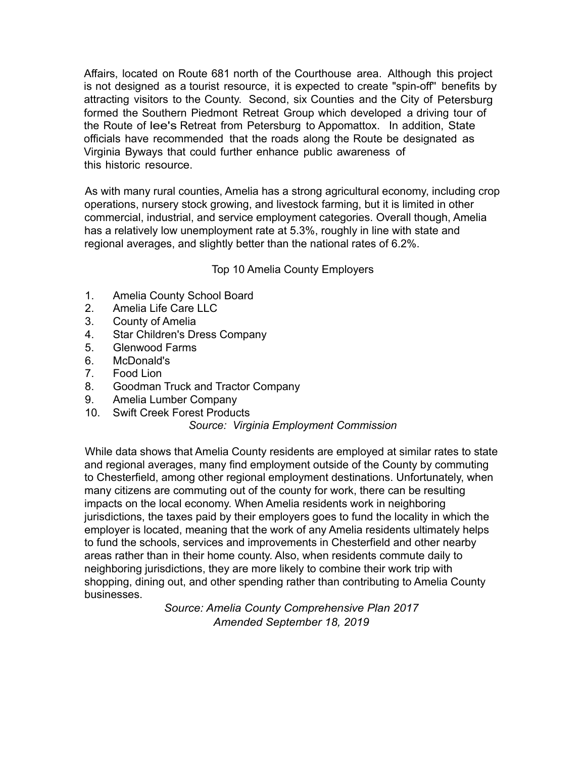Affairs, located on Route 681 north of the Courthouse area. Although this project is not designed as a tourist resource, it is expected to create "spin-off'' benefits by attracting visitors to the County. Second, six Counties and the City of Petersburg formed the Southern Piedmont Retreat Group which developed a driving tour of the Route of lee's Retreat from Petersburg to Appomattox. In addition, State officials have recommended that the roads along the Route be designated as Virginia Byways that could further enhance public awareness of this historic resource.

As with many rural counties, Amelia has a strong agricultural economy, including crop operations, nursery stock growing, and livestock farming, but it is limited in other commercial, industrial, and service employment categories. Overall though, Amelia has a relatively low unemployment rate at 5.3%, roughly in line with state and regional averages, and slightly better than the national rates of 6.2%.

#### Top 10 Amelia County Employers

- 1. Amelia County School Board
- 2. Amelia Life Care LLC
- 3. County of Amelia
- 4. Star Children's Dress Company
- 5. Glenwood Farms
- 6. McDonald's
- 7. Food Lion
- 8. Goodman Truck and Tractor Company
- 9. Amelia Lumber Company
- 10. Swift Creek Forest Products

#### *Source: Virginia Employment Commission*

While data shows that Amelia County residents are employed at similar rates to state and regional averages, many find employment outside of the County by commuting to Chesterfield, among other regional employment destinations. Unfortunately, when many citizens are commuting out of the county for work, there can be resulting impacts on the local economy. When Amelia residents work in neighboring jurisdictions, the taxes paid by their employers goes to fund the locality in which the employer is located, meaning that the work of any Amelia residents ultimately helps to fund the schools, services and improvements in Chesterfield and other nearby areas rather than in their home county. Also, when residents commute daily to neighboring jurisdictions, they are more likely to combine their work trip with shopping, dining out, and other spending rather than contributing to Amelia County businesses.

> *Source: Amelia County Comprehensive Plan 2017 Amended September 18, 2019*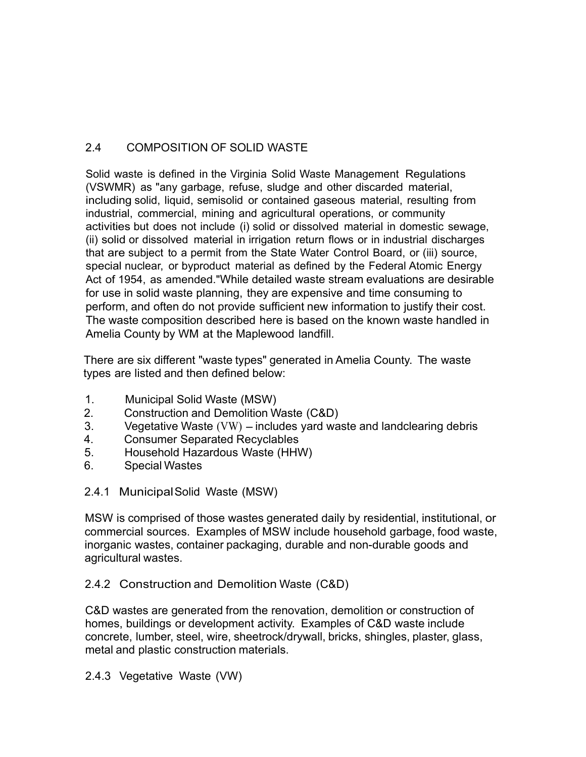# 2.4 COMPOSITION OF SOLID WASTE

Solid waste is defined in the Virginia Solid Waste Management Regulations (VSWMR) as "any garbage, refuse, sludge and other discarded material, including solid, liquid, semisolid or contained gaseous material, resulting from industrial, commercial, mining and agricultural operations, or community activities but does not include (i) solid or dissolved material in domestic sewage, (ii) solid or dissolved material in irrigation return flows or in industrial discharges that are subject to a permit from the State Water Control Board, or (iii) source, special nuclear, or byproduct material as defined by the Federal Atomic Energy Act of 1954, as amended."While detailed waste stream evaluations are desirable for use in solid waste planning, they are expensive and time consuming to perform, and often do not provide sufficient new information to justify their cost. The waste composition described here is based on the known waste handled in Amelia County by WM at the Maplewood landfill.

There are six different "waste types" generated in Amelia County. The waste types are listed and then defined below:

- 1. Municipal Solid Waste (MSW)
- 2. Construction and Demolition Waste (C&D)
- 3. Vegetative Waste (VW) includes yard waste and landclearing debris<br>4. Consumer Separated Recyclables
- 4. Consumer Separated Recyclables
- 5. Household Hazardous Waste (HHW)
- 6. Special Wastes
- 2.4.1 Municipal Solid Waste (MSW)

MSW is comprised of those wastes generated daily by residential, institutional, or commercial sources. Examples of MSW include household garbage, food waste, inorganic wastes, container packaging, durable and non-durable goods and agricultural wastes.

# 2.4.2 Construction and Demolition Waste (C&D)

C&D wastes are generated from the renovation, demolition or construction of homes, buildings or development activity. Examples of C&D waste include concrete, lumber, steel, wire, sheetrock/drywall, bricks, shingles, plaster, glass, metal and plastic construction materials.

2.4.3 Vegetative Waste (VW)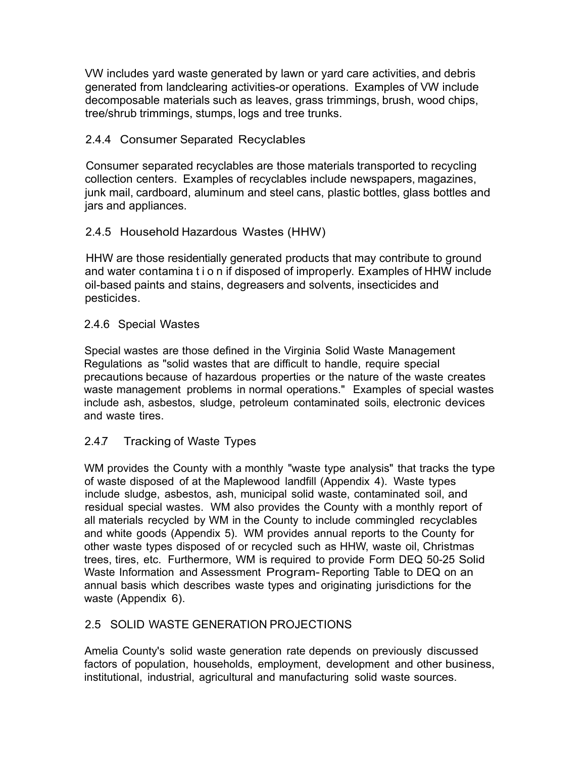VW includes yard waste generated by lawn or yard care activities, and debris generated from landclearing activities-or operations. Examples of VW include decomposable materials such as leaves, grass trimmings, brush, wood chips, tree/shrub trimmings, stumps, logs and tree trunks.

## 2.4.4 Consumer Separated Recyclables

Consumer separated recyclables are those materials transported to recycling collection centers. Examples of recyclables include newspapers, magazines, junk mail, cardboard, aluminum and steel cans, plastic bottles, glass bottles and jars and appliances.

# 2.4.5 Household Hazardous Wastes (HHW)

HHW are those residentially generated products that may contribute to ground and water contamina t i o n if disposed of improperly. Examples of HHW include oil-based paints and stains, degreasers and solvents, insecticides and pesticides.

## 2.4.6 Special Wastes

Special wastes are those defined in the Virginia Solid Waste Management Regulations as "solid wastes that are difficult to handle, require special precautions because of hazardous properties or the nature of the waste creates waste management problems in normal operations." Examples of special wastes include ash, asbestos, sludge, petroleum contaminated soils, electronic devices and waste tires.

## 2.4.7 Tracking of Waste Types

WM provides the County with a monthly "waste type analysis" that tracks the type of waste disposed of at the Maplewood landfill (Appendix 4). Waste types include sludge, asbestos, ash, municipal solid waste, contaminated soil, and residual special wastes. WM also provides the County with a monthly report of all materials recycled by WM in the County to include commingled recyclables and white goods (Appendix 5). WM provides annual reports to the County for other waste types disposed of or recycled such as HHW, waste oil, Christmas trees, tires, etc. Furthermore, WM is required to provide Form DEQ 50-25 Solid Waste Information and Assessment Program- Reporting Table to DEQ on an annual basis which describes waste types and originating jurisdictions for the waste (Appendix 6).

## 2.5 SOLID WASTE GENERATION PROJECTIONS

Amelia County's solid waste generation rate depends on previously discussed factors of population, households, employment, development and other business, institutional, industrial, agricultural and manufacturing solid waste sources.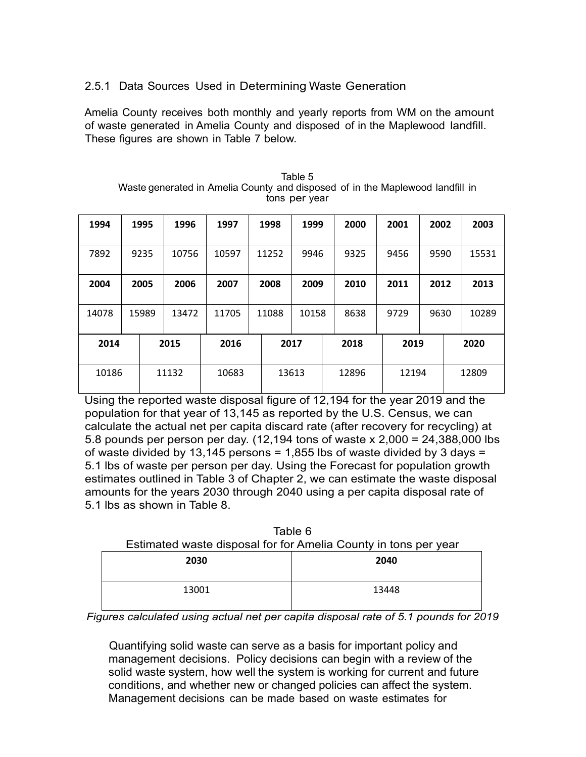# 2.5.1 Data Sources Used in Determining Waste Generation

Amelia County receives both monthly and yearly reports from WM on the amount of waste generated in Amelia County and disposed of in the Maplewood landfill. These figures are shown in Table 7 below.

|       | $\sim$ |       |       |       |  |       |       |       |       |      |       |
|-------|--------|-------|-------|-------|--|-------|-------|-------|-------|------|-------|
| 1994  |        | 1995  | 1996  | 1997  |  | 1998  | 1999  | 2000  | 2001  | 2002 | 2003  |
| 7892  |        | 9235  | 10756 | 10597 |  | 11252 | 9946  | 9325  | 9456  | 9590 | 15531 |
| 2004  |        | 2005  | 2006  | 2007  |  | 2008  | 2009  | 2010  | 2011  | 2012 | 2013  |
| 14078 |        | 15989 | 13472 | 11705 |  | 11088 | 10158 | 8638  | 9729  | 9630 | 10289 |
| 2014  |        |       | 2015  | 2016  |  | 2017  |       | 2018  | 2019  |      | 2020  |
| 10186 |        |       | 11132 | 10683 |  | 13613 |       | 12896 | 12194 |      | 12809 |

| Table 5                                                                       |  |
|-------------------------------------------------------------------------------|--|
| Waste generated in Amelia County and disposed of in the Maplewood landfill in |  |
| tons per year                                                                 |  |

Using the reported waste disposal figure of 12,194 for the year 2019 and the population for that year of 13,145 as reported by the U.S. Census, we can calculate the actual net per capita discard rate (after recovery for recycling) at 5.8 pounds per person per day. (12,194 tons of waste x 2,000 = 24,388,000 lbs of waste divided by 13,145 persons = 1,855 lbs of waste divided by 3 days = 5.1 lbs of waste per person per day. Using the Forecast for population growth estimates outlined in Table 3 of Chapter 2, we can estimate the waste disposal amounts for the years 2030 through 2040 using a per capita disposal rate of 5.1 lbs as shown in Table 8.

| Table 6<br>Estimated waste disposal for for Amelia County in tons per year |       |  |  |  |  |
|----------------------------------------------------------------------------|-------|--|--|--|--|
| 2030                                                                       | 2040  |  |  |  |  |
| 13001                                                                      | 13448 |  |  |  |  |

*Figures calculated using actual net per capita disposal rate of 5.1 pounds for 2019* 

Quantifying solid waste can serve as a basis for important policy and management decisions. Policy decisions can begin with a review of the solid waste system, how well the system is working for current and future conditions, and whether new or changed policies can affect the system. Management decisions can be made based on waste estimates for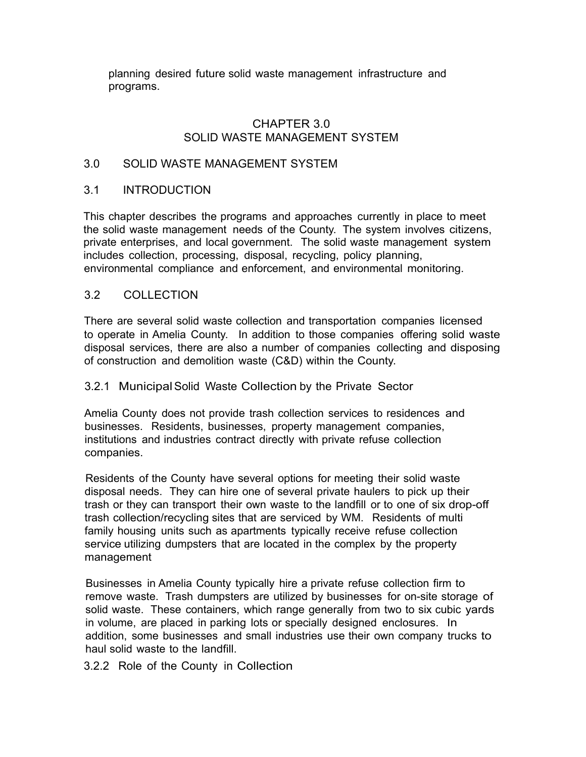planning desired future solid waste management infrastructure and programs.

#### CHAPTER 3.0 SOLID WASTE MANAGEMENT SYSTEM

#### 3.0 SOLID WASTE MANAGEMENT SYSTEM

#### 3.1 INTRODUCTION

This chapter describes the programs and approaches currently in place to meet the solid waste management needs of the County. The system involves citizens, private enterprises, and local government. The solid waste management system includes collection, processing, disposal, recycling, policy planning, environmental compliance and enforcement, and environmental monitoring.

#### 3.2 COLLECTION

There are several solid waste collection and transportation companies licensed to operate in Amelia County. In addition to those companies offering solid waste disposal services, there are also a number of companies collecting and disposing of construction and demolition waste (C&D) within the County.

#### 3.2.1 Municipal Solid Waste Collection by the Private Sector

Amelia County does not provide trash collection services to residences and businesses. Residents, businesses, property management companies, institutions and industries contract directly with private refuse collection companies.

Residents of the County have several options for meeting their solid waste disposal needs. They can hire one of several private haulers to pick up their trash or they can transport their own waste to the landfill or to one of six drop-off trash collection/recycling sites that are serviced by WM. Residents of multi family housing units such as apartments typically receive refuse collection service utilizing dumpsters that are located in the complex by the property management

Businesses in Amelia County typically hire a private refuse collection firm to remove waste. Trash dumpsters are utilized by businesses for on-site storage of solid waste. These containers, which range generally from two to six cubic yards in volume, are placed in parking lots or specially designed enclosures. In addition, some businesses and small industries use their own company trucks to haul solid waste to the landfill.

#### 3.2.2 Role of the County in Collection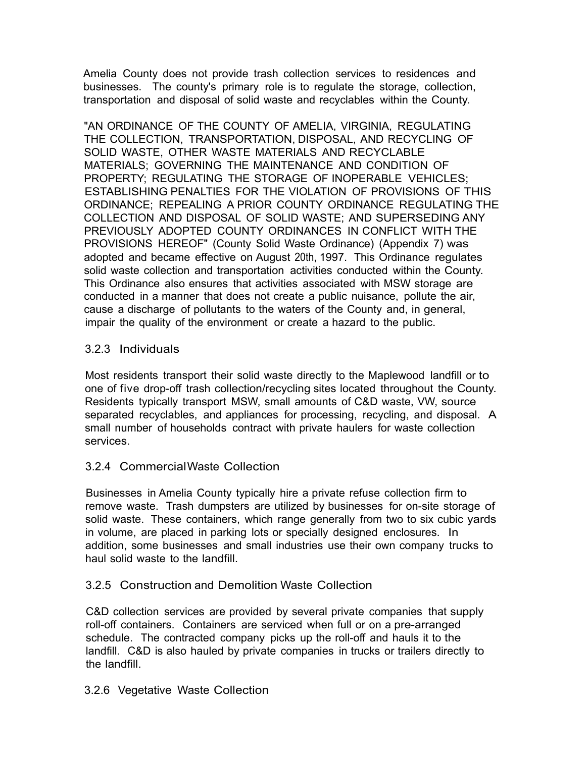Amelia County does not provide trash collection services to residences and businesses. The county's primary role is to regulate the storage, collection, transportation and disposal of solid waste and recyclables within the County.

"AN ORDINANCE OF THE COUNTY OF AMELIA, VIRGINIA, REGULATING THE COLLECTION, TRANSPORTATION, DISPOSAL, AND RECYCLING OF SOLID WASTE, OTHER WASTE MATERIALS AND RECYCLABLE MATERIALS; GOVERNING THE MAINTENANCE AND CONDITION OF PROPERTY; REGULATING THE STORAGE OF INOPERABLE VEHICLES; ESTABLISHING PENALTIES FOR THE VIOLATION OF PROVISIONS OF THIS ORDINANCE; REPEALING A PRIOR COUNTY ORDINANCE REGULATING THE COLLECTION AND DISPOSAL OF SOLID WASTE; AND SUPERSEDING ANY PREVIOUSLY ADOPTED COUNTY ORDINANCES IN CONFLICT WITH THE PROVISIONS HEREOF" (County Solid Waste Ordinance) (Appendix 7) was adopted and became effective on August 20th, 1997. This Ordinance regulates solid waste collection and transportation activities conducted within the County. This Ordinance also ensures that activities associated with MSW storage are conducted in a manner that does not create a public nuisance, pollute the air, cause a discharge of pollutants to the waters of the County and, in general, impair the quality of the environment or create a hazard to the public.

## 3.2.3 Individuals

Most residents transport their solid waste directly to the Maplewood landfill or to one of five drop-off trash collection/recycling sites located throughout the County. Residents typically transport MSW, small amounts of C&D waste, VW, source separated recyclables, and appliances for processing, recycling, and disposal. A small number of households contract with private haulers for waste collection services.

## 3.2.4 Commercial Waste Collection

Businesses in Amelia County typically hire a private refuse collection firm to remove waste. Trash dumpsters are utilized by businesses for on-site storage of solid waste. These containers, which range generally from two to six cubic yards in volume, are placed in parking lots or specially designed enclosures. In addition, some businesses and small industries use their own company trucks to haul solid waste to the landfill.

#### 3.2.5 Construction and Demolition Waste Collection

C&D collection services are provided by several private companies that supply roll-off containers. Containers are serviced when full or on a pre-arranged schedule. The contracted company picks up the roll-off and hauls it to the landfill. C&D is also hauled by private companies in trucks or trailers directly to the landfill.

#### 3.2.6 Vegetative Waste Collection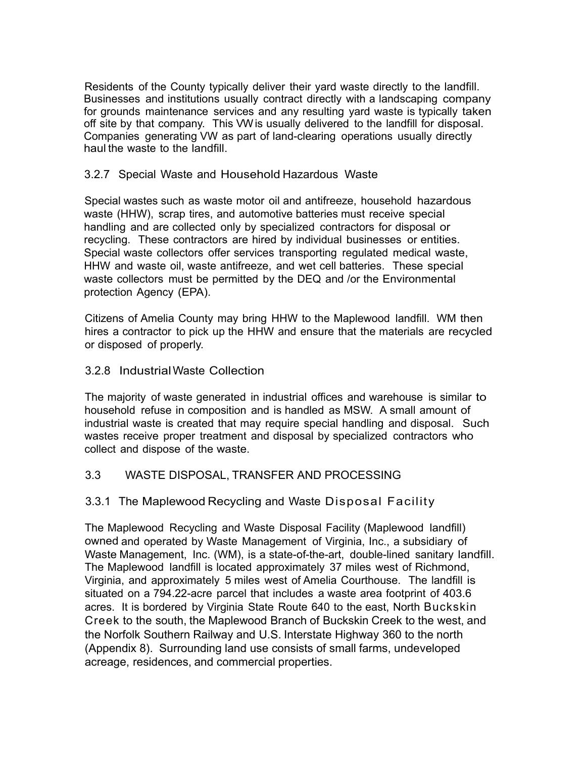Residents of the County typically deliver their yard waste directly to the landfill. Businesses and institutions usually contract directly with a landscaping company for grounds maintenance services and any resulting yard waste is typically taken off site by that company. This VW is usually delivered to the landfill for disposal. Companies generating VW as part of land-clearing operations usually directly haul the waste to the landfill.

## 3.2.7 Special Waste and Household Hazardous Waste

Special wastes such as waste motor oil and antifreeze, household hazardous waste (HHW), scrap tires, and automotive batteries must receive special handling and are collected only by specialized contractors for disposal or recycling. These contractors are hired by individual businesses or entities. Special waste collectors offer services transporting regulated medical waste, HHW and waste oil, waste antifreeze, and wet cell batteries. These special waste collectors must be permitted by the DEQ and /or the Environmental protection Agency (EPA).

Citizens of Amelia County may bring HHW to the Maplewood landfill. WM then hires a contractor to pick up the HHW and ensure that the materials are recycled or disposed of properly.

## 3.2.8 Industrial Waste Collection

The majority of waste generated in industrial offices and warehouse is similar to household refuse in composition and is handled as MSW. A small amount of industrial waste is created that may require special handling and disposal. Such wastes receive proper treatment and disposal by specialized contractors who collect and dispose of the waste.

## 3.3 WASTE DISPOSAL, TRANSFER AND PROCESSING

## 3.3.1 The Maplewood Recycling and Waste Disposal Facility

The Maplewood Recycling and Waste Disposal Facility (Maplewood landfill) owned and operated by Waste Management of Virginia, Inc., a subsidiary of Waste Management, Inc. (WM), is a state-of-the-art, double-lined sanitary landfill. The Maplewood landfill is located approximately 37 miles west of Richmond, Virginia, and approximately 5 miles west of Amelia Courthouse. The landfill is situated on a 794.22-acre parcel that includes a waste area footprint of 403.6 acres. It is bordered by Virginia State Route 640 to the east, North Buckskin Creek to the south, the Maplewood Branch of Buckskin Creek to the west, and the Norfolk Southern Railway and U.S. Interstate Highway 360 to the north (Appendix 8). Surrounding land use consists of small farms, undeveloped acreage, residences, and commercial properties.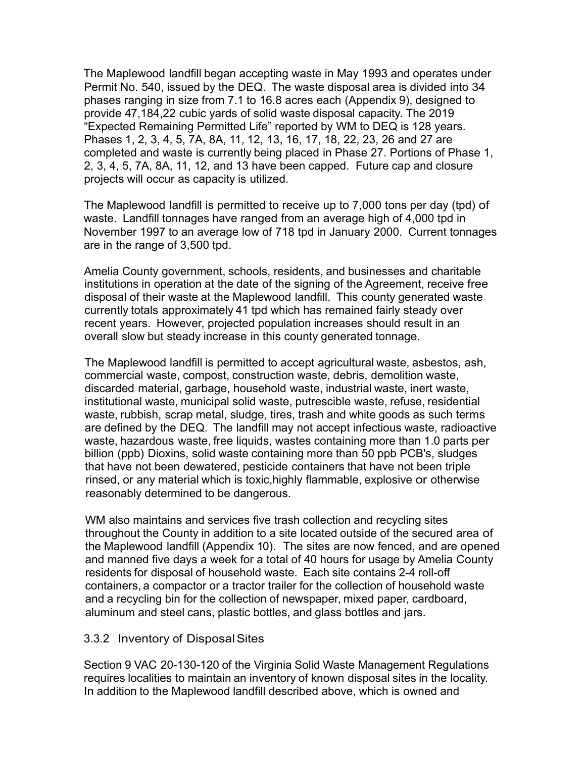The Maplewood landfill began accepting waste in May 1993 and operates under Permit No. 540, issued by the DEQ. The waste disposal area is divided into 34 phases ranging in size from 7.1 to 16.8 acres each (Appendix 9), designed to provide 47,184,22 cubic yards of solid waste disposal capacity. The 2019 "Expected Remaining Permitted Life" reported by WM to DEQ is 128 years. Phases 1, 2, 3, 4, 5, 7A, 8A, 11, 12, 13, 16, 17, 18, 22, 23, 26 and 27 are completed and waste is currently being placed in Phase 27. Portions of Phase 1, 2, 3, 4, 5, 7A, 8A, 11, 12, and 13 have been capped. Future cap and closure projects will occur as capacity is utilized.

The Maplewood landfill is permitted to receive up to 7,000 tons per day (tpd) of waste. Landfill tonnages have ranged from an average high of 4,000 tpd in November 1997 to an average low of 718 tpd in January 2000. Current tonnages are in the range of 3,500 tpd.

Amelia County government, schools, residents, and businesses and charitable institutions in operation at the date of the signing of the Agreement, receive free disposal of their waste at the Maplewood landfill. This county generated waste currently totals approximately 41 tpd which has remained fairly steady over recent years. However, projected population increases should result in an overall slow but steady increase in this county generated tonnage.

The Maplewood landfill is permitted to accept agricultural waste, asbestos, ash, commercial waste, compost, construction waste, debris, demolition waste, discarded material, garbage, household waste, industrial waste, inert waste, institutional waste, municipal solid waste, putrescible waste, refuse, residential waste, rubbish, scrap metal, sludge, tires, trash and white goods as such terms are defined by the DEQ. The landfill may not accept infectious waste, radioactive waste, hazardous waste, free liquids, wastes containing more than 1.0 parts per billion (ppb) Dioxins, solid waste containing more than 50 ppb PCB's, sludges that have not been dewatered, pesticide containers that have not been triple rinsed, or any material which is toxic,highly flammable, explosive or otherwise reasonably determined to be dangerous.

WM also maintains and services five trash collection and recycling sites throughout the County in addition to a site located outside of the secured area of the Maplewood landfill (Appendix 10). The sites are now fenced, and are opened and manned five days a week for a total of 40 hours for usage by Amelia County residents for disposal of household waste. Each site contains 2-4 roll-off containers, a compactor or a tractor trailer for the collection of household waste and a recycling bin for the collection of newspaper, mixed paper, cardboard, aluminum and steel cans, plastic bottles, and glass bottles and jars.

## 3.3.2 Inventory of DisposalSites

Section 9 VAC 20-130-120 of the Virginia Solid Waste Management Regulations requires localities to maintain an inventory of known disposal sites in the locality. In addition to the Maplewood landfill described above, which is owned and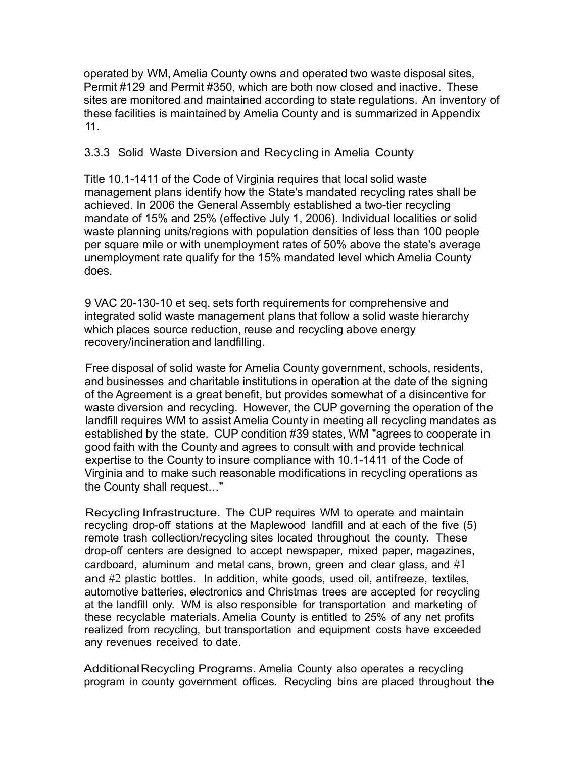operated by WM, Amelia County owns and operated two waste disposal sites, Permit #129 and Permit #350, which are both now closed and inactive. These sites are monitored and maintained according to state regulations. An inventory of these facilities is maintained by Amelia County and is summarized in Appendix 11.

## 3.3.3 Solid Waste Diversion and Recycling in Amelia County

Title 10.1-1411 of the Code of Virginia requires that local solid waste management plans identify how the State's mandated recycling rates shall be achieved. In 2006 the General Assembly established a two-tier recycling mandate of 15% and 25% (effective July 1, 2006). Individual localities or solid waste planning units/regions with population densities of less than 100 people per square mile or with unemployment rates of 50% above the state's average unemployment rate qualify for the 15% mandated level which Amelia County does.

9 VAC 20-130-10 et seq. sets forth requirements for comprehensive and integrated solid waste management plans that follow a solid waste hierarchy which places source reduction, reuse and recycling above energy recovery/incineration and landfilling.

Free disposal of solid waste for Amelia County government, schools, residents, and businesses and charitable institutions in operation at the date of the signing of the Agreement is a great benefit, but provides somewhat of a disincentive for waste diversion and recycling. However, the CUP governing the operation of the landfill requires WM to assist Amelia County in meeting all recycling mandates as established by the state. CUP condition #39 states, WM "agrees to cooperate in good faith with the County and agrees to consult with and provide technical expertise to the County to insure compliance with 10.1-1411 of the Code of Virginia and to make such reasonable modifications in recycling operations as the County shall request..."

Recycling Infrastructure. The CUP requires WM to operate and maintain recycling drop-off stations at the Maplewood landfill and at each of the five (5) remote trash collection/recycling sites located throughout the county. These drop-off centers are designed to accept newspaper, mixed paper, magazines, cardboard, aluminum and metal cans, brown, green and clear glass, and  $#1$ and #2 plastic bottles. In addition, white goods, used oil, antifreeze, textiles, automotive batteries, electronics and Christmas trees are accepted for recycling at the landfill only. WM is also responsible for transportation and marketing of these recyclable materials. Amelia County is entitled to 25% of any net profits realized from recycling, but transportation and equipment costs have exceeded any revenues received to date.

AdditionalRecycling Programs. Amelia County also operates a recycling program in county government offices. Recycling bins are placed throughout the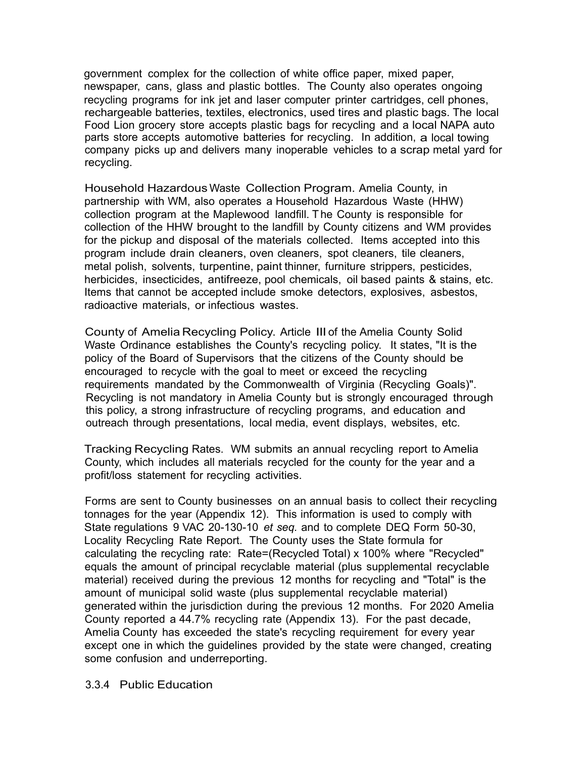government complex for the collection of white office paper, mixed paper, newspaper, cans, glass and plastic bottles. The County also operates ongoing recycling programs for ink jet and laser computer printer cartridges, cell phones, rechargeable batteries, textiles, electronics, used tires and plastic bags. The local Food Lion grocery store accepts plastic bags for recycling and a local NAPA auto parts store accepts automotive batteries for recycling. In addition, a local towing company picks up and delivers many inoperable vehicles to a scrap metal yard for recycling.

Household Hazardous Waste Collection Program. Amelia County, in partnership with WM, also operates a Household Hazardous Waste (HHW) collection program at the Maplewood landfill. The County is responsible for collection of the HHW brought to the landfill by County citizens and WM provides for the pickup and disposal of the materials collected. Items accepted into this program include drain cleaners, oven cleaners, spot cleaners, tile cleaners, metal polish, solvents, turpentine, paint thinner, furniture strippers, pesticides, herbicides, insecticides, antifreeze, pool chemicals, oil based paints & stains, etc. Items that cannot be accepted include smoke detectors, explosives, asbestos, radioactive materials, or infectious wastes.

County of Amelia Recycling Policy. Article Ill of the Amelia County Solid Waste Ordinance establishes the County's recycling policy. It states, "It is the policy of the Board of Supervisors that the citizens of the County should be encouraged to recycle with the goal to meet or exceed the recycling requirements mandated by the Commonwealth of Virginia (Recycling Goals)". Recycling is not mandatory in Amelia County but is strongly encouraged through this policy, a strong infrastructure of recycling programs, and education and outreach through presentations, local media, event displays, websites, etc.

Tracking Recycling Rates. WM submits an annual recycling report to Amelia County, which includes all materials recycled for the county for the year and a profit/loss statement for recycling activities.

Forms are sent to County businesses on an annual basis to collect their recycling tonnages for the year (Appendix 12). This information is used to comply with State regulations 9 VAC 20-130-10 *et seq.* and to complete DEQ Form 50-30, Locality Recycling Rate Report. The County uses the State formula for calculating the recycling rate: Rate=(Recycled Total) x 100% where "Recycled" equals the amount of principal recyclable material (plus supplemental recyclable material) received during the previous 12 months for recycling and "Total" is the amount of municipal solid waste (plus supplemental recyclable material) generated within the jurisdiction during the previous 12 months. For 2020 Amelia County reported a 44.7% recycling rate (Appendix 13). For the past decade, Amelia County has exceeded the state's recycling requirement for every year except one in which the guidelines provided by the state were changed, creating some confusion and underreporting.

#### 3.3.4 Public Education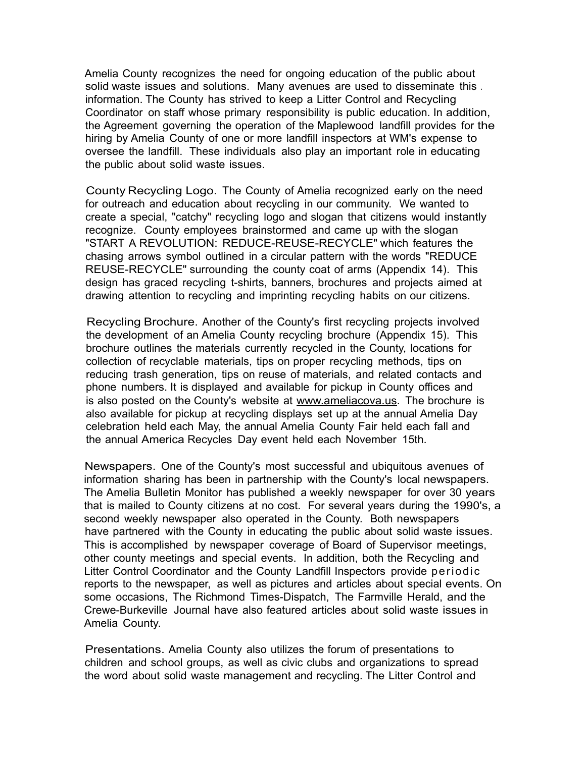Amelia County recognizes the need for ongoing education of the public about solid waste issues and solutions. Many avenues are used to disseminate this . information. The County has strived to keep a Litter Control and Recycling Coordinator on staff whose primary responsibility is public education. In addition, the Agreement governing the operation of the Maplewood landfill provides for the hiring by Amelia County of one or more landfill inspectors at WM's expense to oversee the landfill. These individuals also play an important role in educating the public about solid waste issues.

County Recycling Logo. The County of Amelia recognized early on the need for outreach and education about recycling in our community. We wanted to create a special, "catchy" recycling logo and slogan that citizens would instantly recognize. County employees brainstormed and came up with the slogan "START A REVOLUTION: REDUCE-REUSE-RECYCLE" which features the chasing arrows symbol outlined in a circular pattern with the words "REDUCE REUSE-RECYCLE" surrounding the county coat of arms (Appendix 14). This design has graced recycling t-shirts, banners, brochures and projects aimed at drawing attention to recycling and imprinting recycling habits on our citizens.

Recycling Brochure. Another of the County's first recycling projects involved the development of an Amelia County recycling brochure (Appendix 15). This brochure outlines the materials currently recycled in the County, locations for collection of recyclable materials, tips on proper recycling methods, tips on reducing trash generation, tips on reuse of materials, and related contacts and phone numbers. It is displayed and available for pickup in County offices and is also posted on the County's website at www.ameliacova.us. The brochure is also available for pickup at recycling displays set up at the annual Amelia Day celebration held each May, the annual Amelia County Fair held each fall and the annual America Recycles Day event held each November 15th.

Newspapers. One of the County's most successful and ubiquitous avenues of information sharing has been in partnership with the County's local newspapers. The Amelia Bulletin Monitor has published a weekly newspaper for over 30 years that is mailed to County citizens at no cost. For several years during the 1990's, a second weekly newspaper also operated in the County. Both newspapers have partnered with the County in educating the public about solid waste issues. This is accomplished by newspaper coverage of Board of Supervisor meetings, other county meetings and special events. In addition, both the Recycling and Litter Control Coordinator and the County Landfill Inspectors provide periodic reports to the newspaper, as well as pictures and articles about special events. On some occasions, The Richmond Times-Dispatch, The Farmville Herald, and the Crewe-Burkeville Journal have also featured articles about solid waste issues in Amelia County.

Presentations. Amelia County also utilizes the forum of presentations to children and school groups, as well as civic clubs and organizations to spread the word about solid waste management and recycling. The Litter Control and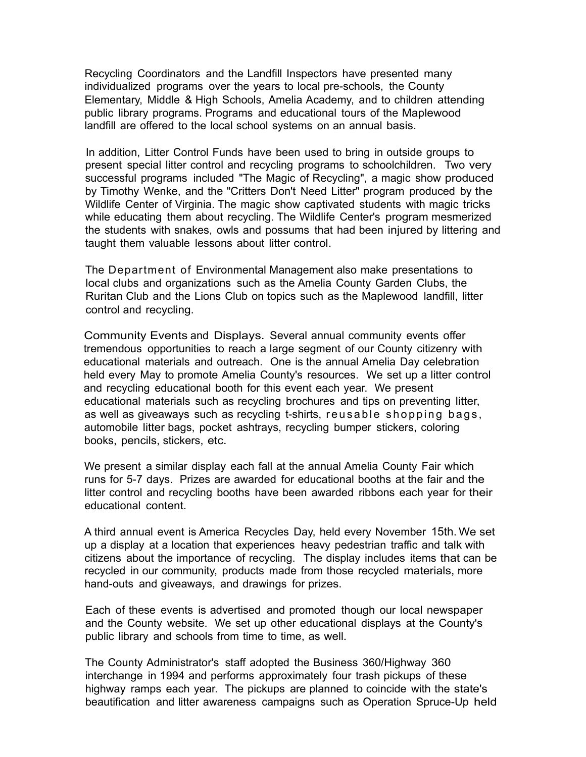Recycling Coordinators and the Landfill Inspectors have presented many individualized programs over the years to local pre-schools, the County Elementary, Middle & High Schools, Amelia Academy, and to children attending public library programs. Programs and educational tours of the Maplewood landfill are offered to the local school systems on an annual basis.

In addition, Litter Control Funds have been used to bring in outside groups to present special litter control and recycling programs to schoolchildren. Two very successful programs included "The Magic of Recycling", a magic show produced by Timothy Wenke, and the "Critters Don't Need Litter" program produced by the Wildlife Center of Virginia. The magic show captivated students with magic tricks while educating them about recycling. The Wildlife Center's program mesmerized the students with snakes, owls and possums that had been injured by littering and taught them valuable lessons about litter control.

The Department of Environmental Management also make presentations to local clubs and organizations such as the Amelia County Garden Clubs, the Ruritan Club and the Lions Club on topics such as the Maplewood landfill, litter control and recycling.

Community Events and Displays. Several annual community events offer tremendous opportunities to reach a large segment of our County citizenry with educational materials and outreach. One is the annual Amelia Day celebration held every May to promote Amelia County's resources. We set up a litter control and recycling educational booth for this event each year. We present educational materials such as recycling brochures and tips on preventing litter, as well as giveaways such as recycling t-shirts, reusable shopping bags, automobile litter bags, pocket ashtrays, recycling bumper stickers, coloring books, pencils, stickers, etc.

We present a similar display each fall at the annual Amelia County Fair which runs for 5-7 days. Prizes are awarded for educational booths at the fair and the litter control and recycling booths have been awarded ribbons each year for their educational content.

A third annual event is America Recycles Day, held every November 15th. We set up a display at a location that experiences heavy pedestrian traffic and talk with citizens about the importance of recycling. The display includes items that can be recycled in our community, products made from those recycled materials, more hand-outs and giveaways, and drawings for prizes.

Each of these events is advertised and promoted though our local newspaper and the County website. We set up other educational displays at the County's public library and schools from time to time, as well.

The County Administrator's staff adopted the Business 360/Highway 360 interchange in 1994 and performs approximately four trash pickups of these highway ramps each year. The pickups are planned to coincide with the state's beautification and litter awareness campaigns such as Operation Spruce-Up held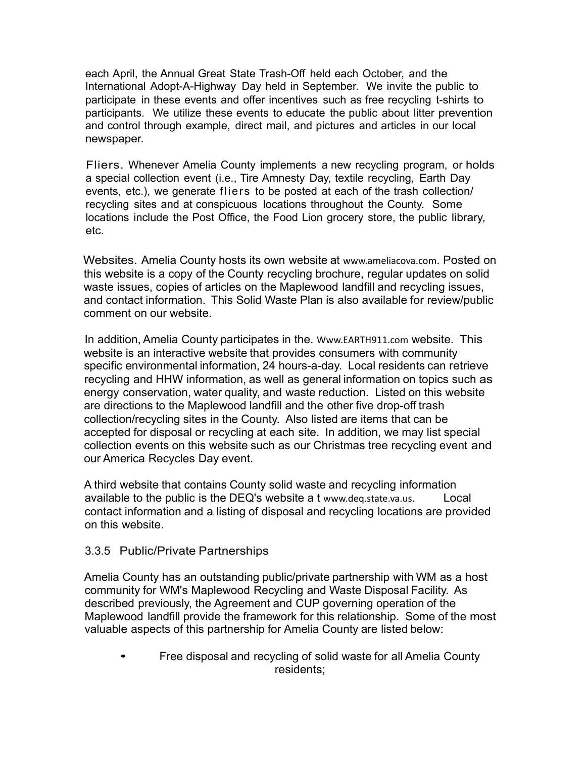each April, the Annual Great State Trash-Off held each October, and the International Adopt-A-Highway Day held in September. We invite the public to participate in these events and offer incentives such as free recycling t-shirts to participants. We utilize these events to educate the public about litter prevention and control through example, direct mail, and pictures and articles in our local newspaper.

Fliers. Whenever Amelia County implements a new recycling program, or holds a special collection event (i.e., Tire Amnesty Day, textile recycling, Earth Day events, etc.), we generate fliers to be posted at each of the trash collection/ recycling sites and at conspicuous locations throughout the County. Some locations include the Post Office, the Food Lion grocery store, the public library, etc.

Websites. Amelia County hosts its own website at www.ameliacova.com. Posted on this website is a copy of the County recycling brochure, regular updates on solid waste issues, copies of articles on the Maplewood landfill and recycling issues, and contact information. This Solid Waste Plan is also available for review/public comment on our website.

In addition, Amelia County participates in the. Www.EARTH911.com website. This website is an interactive website that provides consumers with community specific environmental information, 24 hours-a-day. Local residents can retrieve recycling and HHW information, as well as general information on topics such as energy conservation, water quality, and waste reduction. Listed on this website are directions to the Maplewood landfill and the other five drop-off trash collection/recycling sites in the County. Also listed are items that can be accepted for disposal or recycling at each site. In addition, we may list special collection events on this website such as our Christmas tree recycling event and our America Recycles Day event.

A third website that contains County solid waste and recycling information available to the public is the DEQ's website a t www.deq.state.va.us. Local contact information and a listing of disposal and recycling locations are provided on this website.

## 3.3.5 Public/Private Partnerships

Amelia County has an outstanding public/private partnership with WM as a host community for WM's Maplewood Recycling and Waste Disposal Facility. As described previously, the Agreement and CUP governing operation of the Maplewood landfill provide the framework for this relationship. Some of the most valuable aspects of this partnership for Amelia County are listed below:

• Free disposal and recycling of solid waste for all Amelia County residents;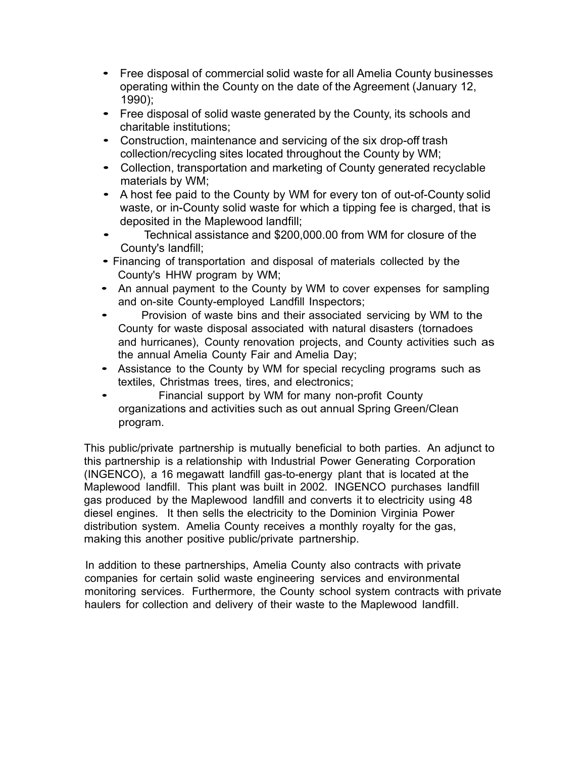- Free disposal of commercial solid waste for all Amelia County businesses operating within the County on the date of the Agreement (January 12, 1990);
- Free disposal of solid waste generated by the County, its schools and charitable institutions;
- Construction, maintenance and servicing of the six drop-off trash collection/recycling sites located throughout the County by WM;
- Collection, transportation and marketing of County generated recyclable materials by WM;
- A host fee paid to the County by WM for every ton of out-of-County solid waste, or in-County solid waste for which a tipping fee is charged, that is deposited in the Maplewood landfill;
- Technical assistance and \$200,000.00 from WM for closure of the County's landfill;
- Financing of transportation and disposal of materials collected by the County's HHW program by WM;
- An annual payment to the County by WM to cover expenses for sampling and on-site County-employed Landfill Inspectors;
- Provision of waste bins and their associated servicing by WM to the County for waste disposal associated with natural disasters (tornadoes and hurricanes), County renovation projects, and County activities such as the annual Amelia County Fair and Amelia Day;
- Assistance to the County by WM for special recycling programs such as textiles, Christmas trees, tires, and electronics;
- Financial support by WM for many non-profit County organizations and activities such as out annual Spring Green/Clean program.

This public/private partnership is mutually beneficial to both parties. An adjunct to this partnership is a relationship with Industrial Power Generating Corporation (INGENCO), a 16 megawatt landfill gas-to-energy plant that is located at the Maplewood landfill. This plant was built in 2002. INGENCO purchases landfill gas produced by the Maplewood landfill and converts it to electricity using 48 diesel engines. It then sells the electricity to the Dominion Virginia Power distribution system. Amelia County receives a monthly royalty for the gas, making this another positive public/private partnership.

In addition to these partnerships, Amelia County also contracts with private companies for certain solid waste engineering services and environmental monitoring services. Furthermore, the County school system contracts with private haulers for collection and delivery of their waste to the Maplewood landfill.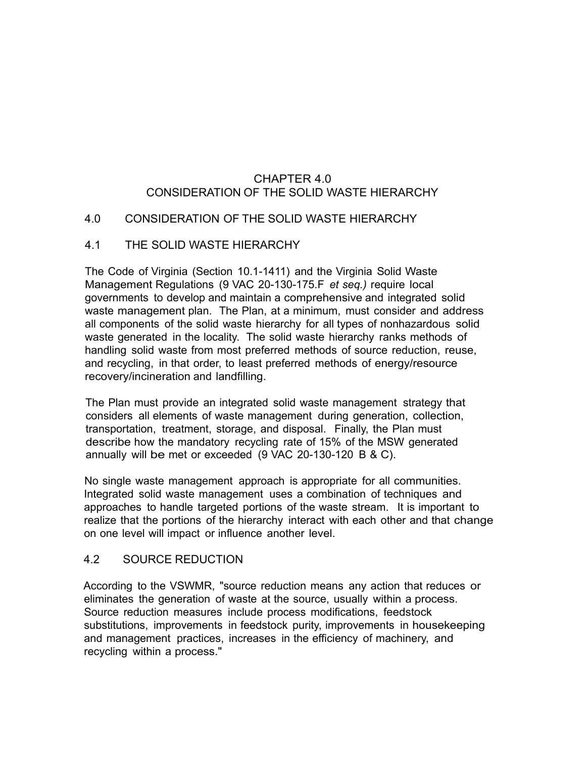# CHAPTER 4.0 CONSIDERATION OF THE SOLID WASTE HIERARCHY

## 4.0 CONSIDERATION OF THE SOLID WASTE HIERARCHY

#### 4.1 THE SOLID WASTE HIERARCHY

The Code of Virginia (Section 10.1-1411) and the Virginia Solid Waste Management Regulations (9 VAC 20-130-175.F *et seq.)* require local governments to develop and maintain a comprehensive and integrated solid waste management plan. The Plan, at a minimum, must consider and address all components of the solid waste hierarchy for all types of nonhazardous solid waste generated in the locality. The solid waste hierarchy ranks methods of handling solid waste from most preferred methods of source reduction, reuse, and recycling, in that order, to least preferred methods of energy/resource recovery/incineration and landfilling.

The Plan must provide an integrated solid waste management strategy that considers all elements of waste management during generation, collection, transportation, treatment, storage, and disposal. Finally, the Plan must describe how the mandatory recycling rate of 15% of the MSW generated annually will be met or exceeded (9 VAC 20-130-120 B & C).

No single waste management approach is appropriate for all communities. Integrated solid waste management uses a combination of techniques and approaches to handle targeted portions of the waste stream. It is important to realize that the portions of the hierarchy interact with each other and that change on one level will impact or influence another level.

## 4.2 SOURCE REDUCTION

According to the VSWMR, "source reduction means any action that reduces or eliminates the generation of waste at the source, usually within a process. Source reduction measures include process modifications, feedstock substitutions, improvements in feedstock purity, improvements in housekeeping and management practices, increases in the efficiency of machinery, and recycling within a process."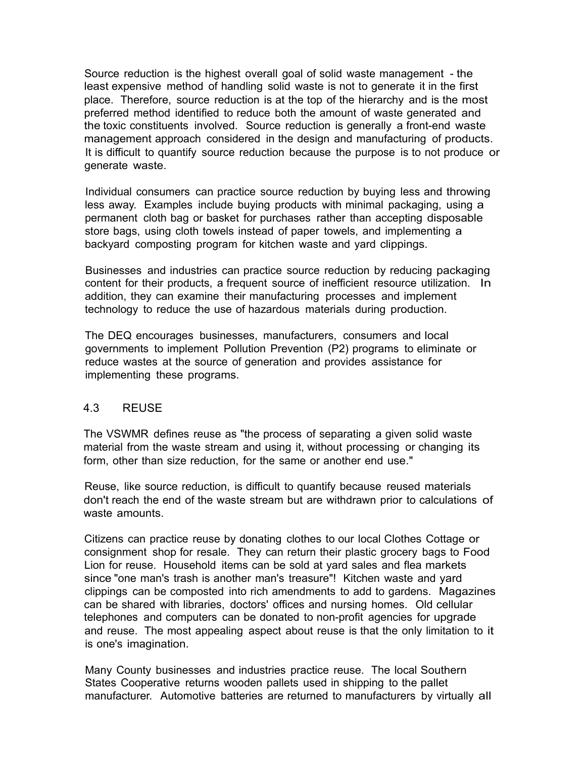Source reduction is the highest overall goal of solid waste management - the least expensive method of handling solid waste is not to generate it in the first place. Therefore, source reduction is at the top of the hierarchy and is the most preferred method identified to reduce both the amount of waste generated and the toxic constituents involved. Source reduction is generally a front-end waste management approach considered in the design and manufacturing of products. It is difficult to quantify source reduction because the purpose is to not produce or generate waste.

Individual consumers can practice source reduction by buying less and throwing less away. Examples include buying products with minimal packaging, using a permanent cloth bag or basket for purchases rather than accepting disposable store bags, using cloth towels instead of paper towels, and implementing a backyard composting program for kitchen waste and yard clippings.

Businesses and industries can practice source reduction by reducing packaging content for their products, a frequent source of inefficient resource utilization. In addition, they can examine their manufacturing processes and implement technology to reduce the use of hazardous materials during production.

The DEQ encourages businesses, manufacturers, consumers and local governments to implement Pollution Prevention (P2) programs to eliminate or reduce wastes at the source of generation and provides assistance for implementing these programs.

## 4.3 REUSE

The VSWMR defines reuse as "the process of separating a given solid waste material from the waste stream and using it, without processing or changing its form, other than size reduction, for the same or another end use."

Reuse, like source reduction, is difficult to quantify because reused materials don't reach the end of the waste stream but are withdrawn prior to calculations of waste amounts.

Citizens can practice reuse by donating clothes to our local Clothes Cottage or consignment shop for resale. They can return their plastic grocery bags to Food Lion for reuse. Household items can be sold at yard sales and flea markets since "one man's trash is another man's treasure"! Kitchen waste and yard clippings can be composted into rich amendments to add to gardens. Magazines can be shared with libraries, doctors' offices and nursing homes. Old cellular telephones and computers can be donated to non-profit agencies for upgrade and reuse. The most appealing aspect about reuse is that the only limitation to it is one's imagination.

Many County businesses and industries practice reuse. The local Southern States Cooperative returns wooden pallets used in shipping to the pallet manufacturer. Automotive batteries are returned to manufacturers by virtually all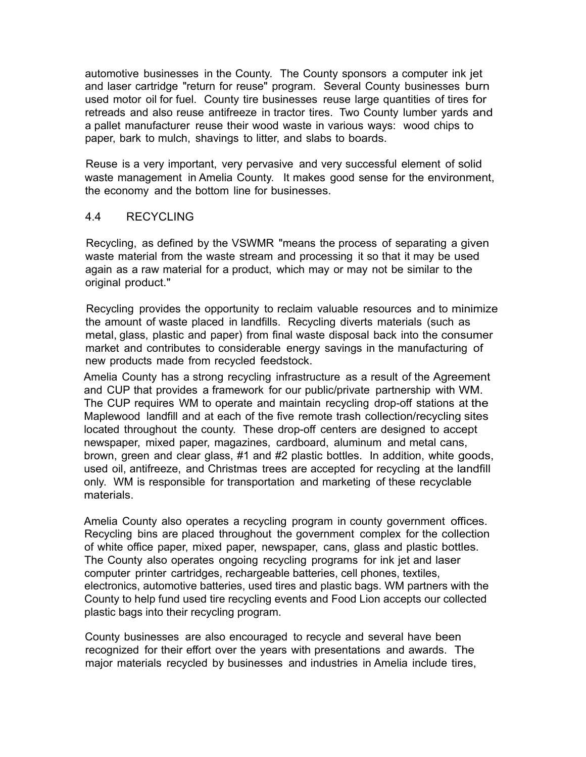automotive businesses in the County. The County sponsors a computer ink jet and laser cartridge "return for reuse" program. Several County businesses burn used motor oil for fuel. County tire businesses reuse large quantities of tires for retreads and also reuse antifreeze in tractor tires. Two County lumber yards and a pallet manufacturer reuse their wood waste in various ways: wood chips to paper, bark to mulch, shavings to litter, and slabs to boards.

Reuse is a very important, very pervasive and very successful element of solid waste management in Amelia County. It makes good sense for the environment, the economy and the bottom line for businesses.

## 4.4 RECYCLING

Recycling, as defined by the VSWMR "means the process of separating a given waste material from the waste stream and processing it so that it may be used again as a raw material for a product, which may or may not be similar to the original product."

Recycling provides the opportunity to reclaim valuable resources and to minimize the amount of waste placed in landfills. Recycling diverts materials (such as metal, glass, plastic and paper) from final waste disposal back into the consumer market and contributes to considerable energy savings in the manufacturing of new products made from recycled feedstock.

Amelia County has a strong recycling infrastructure as a result of the Agreement and CUP that provides a framework for our public/private partnership with WM. The CUP requires WM to operate and maintain recycling drop-off stations at the Maplewood landfill and at each of the five remote trash collection/recycling sites located throughout the county. These drop-off centers are designed to accept newspaper, mixed paper, magazines, cardboard, aluminum and metal cans, brown, green and clear glass, #1 and #2 plastic bottles. In addition, white goods, used oil, antifreeze, and Christmas trees are accepted for recycling at the landfill only. WM is responsible for transportation and marketing of these recyclable materials.

Amelia County also operates a recycling program in county government offices. Recycling bins are placed throughout the government complex for the collection of white office paper, mixed paper, newspaper, cans, glass and plastic bottles. The County also operates ongoing recycling programs for ink jet and laser computer printer cartridges, rechargeable batteries, cell phones, textiles, electronics, automotive batteries, used tires and plastic bags. WM partners with the County to help fund used tire recycling events and Food Lion accepts our collected plastic bags into their recycling program.

County businesses are also encouraged to recycle and several have been recognized for their effort over the years with presentations and awards. The major materials recycled by businesses and industries in Amelia include tires,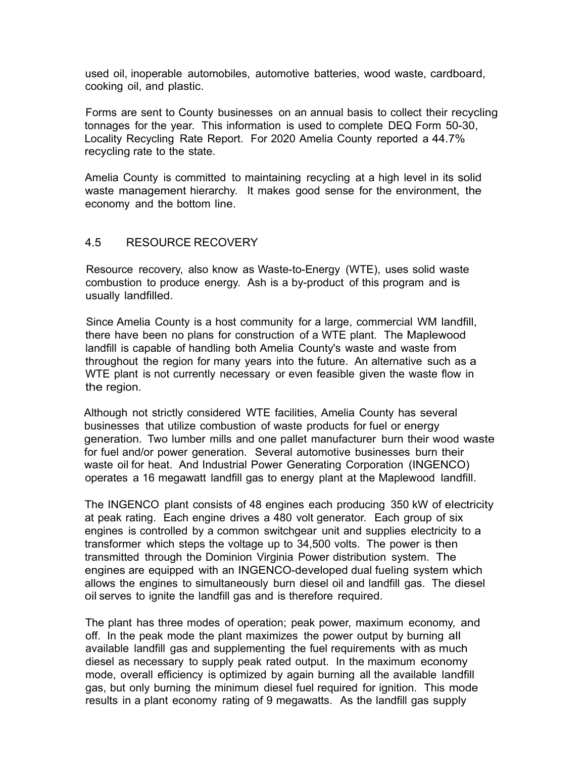used oil, inoperable automobiles, automotive batteries, wood waste, cardboard, cooking oil, and plastic.

Forms are sent to County businesses on an annual basis to collect their recycling tonnages for the year. This information is used to complete DEQ Form 50-30, Locality Recycling Rate Report. For 2020 Amelia County reported a 44.7% recycling rate to the state.

Amelia County is committed to maintaining recycling at a high level in its solid waste management hierarchy. It makes good sense for the environment, the economy and the bottom line.

## 4.5 RESOURCE RECOVERY

Resource recovery, also know as Waste-to-Energy (WTE), uses solid waste combustion to produce energy. Ash is a by-product of this program and is usually landfilled.

Since Amelia County is a host community for a large, commercial WM landfill, there have been no plans for construction of a WTE plant. The Maplewood landfill is capable of handling both Amelia County's waste and waste from throughout the region for many years into the future. An alternative such as a WTE plant is not currently necessary or even feasible given the waste flow in the region.

Although not strictly considered WTE facilities, Amelia County has several businesses that utilize combustion of waste products for fuel or energy generation. Two lumber mills and one pallet manufacturer burn their wood waste for fuel and/or power generation. Several automotive businesses burn their waste oil for heat. And Industrial Power Generating Corporation (INGENCO) operates a 16 megawatt landfill gas to energy plant at the Maplewood landfill.

The INGENCO plant consists of 48 engines each producing 350 kW of electricity at peak rating. Each engine drives a 480 volt generator. Each group of six engines is controlled by a common switchgear unit and supplies electricity to a transformer which steps the voltage up to 34,500 volts. The power is then transmitted through the Dominion Virginia Power distribution system. The engines are equipped with an INGENCO-developed dual fueling system which allows the engines to simultaneously burn diesel oil and landfill gas. The diesel oil serves to ignite the landfill gas and is therefore required.

The plant has three modes of operation; peak power, maximum economy, and off. In the peak mode the plant maximizes the power output by burning all available landfill gas and supplementing the fuel requirements with as much diesel as necessary to supply peak rated output. In the maximum economy mode, overall efficiency is optimized by again burning all the available landfill gas, but only burning the minimum diesel fuel required for ignition. This mode results in a plant economy rating of 9 megawatts. As the landfill gas supply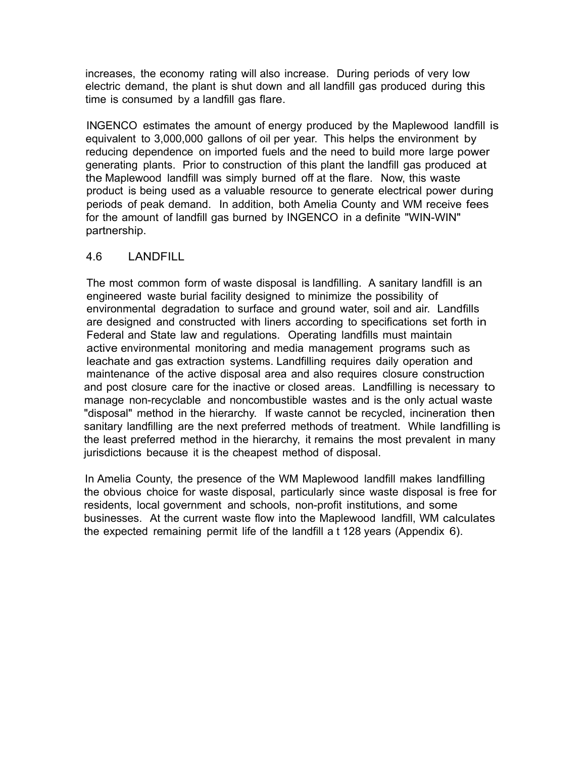increases, the economy rating will also increase. During periods of very low electric demand, the plant is shut down and all landfill gas produced during this time is consumed by a landfill gas flare.

INGENCO estimates the amount of energy produced by the Maplewood landfill is equivalent to 3,000,000 gallons of oil per year. This helps the environment by reducing dependence on imported fuels and the need to build more large power generating plants. Prior to construction of this plant the landfill gas produced at the Maplewood landfill was simply burned off at the flare. Now, this waste product is being used as a valuable resource to generate electrical power during periods of peak demand. In addition, both Amelia County and WM receive fees for the amount of landfill gas burned by INGENCO in a definite "WIN-WIN" partnership.

## 4.6 LANDFILL

The most common form of waste disposal is landfilling. A sanitary landfill is an engineered waste burial facility designed to minimize the possibility of environmental degradation to surface and ground water, soil and air. Landfills are designed and constructed with liners according to specifications set forth in Federal and State law and regulations. Operating landfills must maintain active environmental monitoring and media management programs such as leachate and gas extraction systems. Landfilling requires daily operation and maintenance of the active disposal area and also requires closure construction and post closure care for the inactive or closed areas. Landfilling is necessary to manage non-recyclable and noncombustible wastes and is the only actual waste "disposal" method in the hierarchy. If waste cannot be recycled, incineration then sanitary landfilling are the next preferred methods of treatment. While landfilling is the least preferred method in the hierarchy, it remains the most prevalent in many jurisdictions because it is the cheapest method of disposal.

In Amelia County, the presence of the WM Maplewood landfill makes landfilling the obvious choice for waste disposal, particularly since waste disposal is free for residents, local government and schools, non-profit institutions, and some businesses. At the current waste flow into the Maplewood landfill, WM calculates the expected remaining permit life of the landfill a t 128 years (Appendix 6).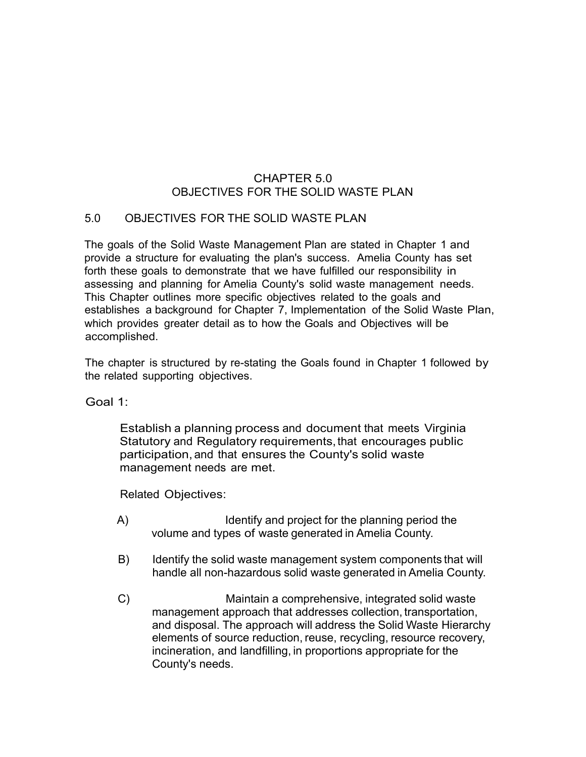## CHAPTER 5.0 OBJECTIVES FOR THE SOLID WASTE PLAN

## 5.0 OBJECTIVES FOR THE SOLID WASTE PLAN

The goals of the Solid Waste Management Plan are stated in Chapter 1 and provide a structure for evaluating the plan's success. Amelia County has set forth these goals to demonstrate that we have fulfilled our responsibility in assessing and planning for Amelia County's solid waste management needs. This Chapter outlines more specific objectives related to the goals and establishes a background for Chapter 7, Implementation of the Solid Waste Plan, which provides greater detail as to how the Goals and Objectives will be accomplished.

The chapter is structured by re-stating the Goals found in Chapter 1 followed by the related supporting objectives.

Goal 1:

Establish a planning process and document that meets Virginia Statutory and Regulatory requirements, that encourages public participation, and that ensures the County's solid waste management needs are met.

- A) Identify and project for the planning period the volume and types of waste generated in Amelia County.
- B) Identify the solid waste management system components that will handle all non-hazardous solid waste generated in Amelia County.
- C) Maintain a comprehensive, integrated solid waste management approach that addresses collection, transportation, and disposal. The approach will address the Solid Waste Hierarchy elements of source reduction, reuse, recycling, resource recovery, incineration, and landfilling, in proportions appropriate for the County's needs.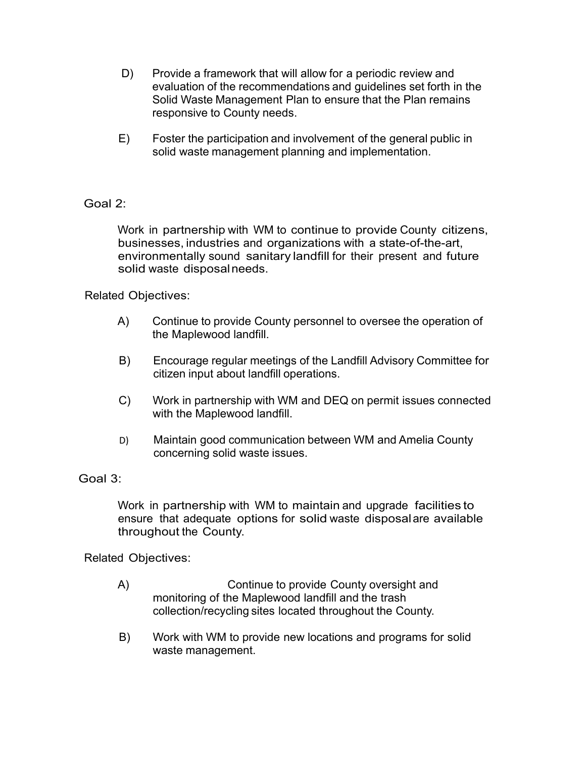- D) Provide a framework that will allow for a periodic review and evaluation of the recommendations and guidelines set forth in the Solid Waste Management Plan to ensure that the Plan remains responsive to County needs.
- E) Foster the participation and involvement of the general public in solid waste management planning and implementation.

## Goal 2:

Work in partnership with WM to continue to provide County citizens, businesses, industries and organizations with a state-of-the-art, environmentally sound sanitary landfill for their present and future solid waste disposalneeds.

## Related Objectives:

- A) Continue to provide County personnel to oversee the operation of the Maplewood landfill.
- B)Encourage regular meetings of the Landfill Advisory Committee for citizen input about landfill operations.
- C) Work in partnership with WM and DEQ on permit issues connected with the Maplewood landfill.
- D) Maintain good communication between WM and Amelia County concerning solid waste issues.

## Goal 3:

Work in partnership with WM to maintain and upgrade facilities to ensure that adequate options for solid waste disposal are available throughout the County.

- A) Continue to provide County oversight and monitoring of the Maplewood landfill and the trash collection/recycling sites located throughout the County.
- B) Work with WM to provide new locations and programs for solid waste management.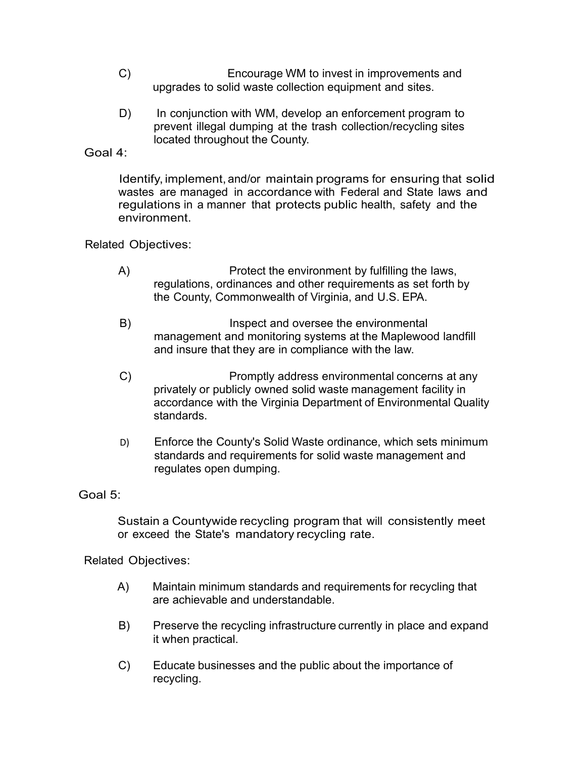- C) Encourage WM to invest in improvements and upgrades to solid waste collection equipment and sites.
- D) In conjunction with WM, develop an enforcement program to prevent illegal dumping at the trash collection/recycling sites located throughout the County.

#### Goal 4:

Identify, implement, and/or maintain programs for ensuring that solid wastes are managed in accordance with Federal and State laws and regulations in a manner that protects public health, safety and the environment.

## Related Objectives:

- A) Protect the environment by fulfilling the laws, regulations, ordinances and other requirements as set forth by the County, Commonwealth of Virginia, and U.S. EPA.
- B) Inspect and oversee the environmental management and monitoring systems at the Maplewood landfill and insure that they are in compliance with the law.
- C) Promptly address environmental concerns at any privately or publicly owned solid waste management facility in accordance with the Virginia Department of Environmental Quality standards.
- D) Enforce the County's Solid Waste ordinance, which sets minimum standards and requirements for solid waste management and regulates open dumping.

## Goal 5:

Sustain a Countywide recycling program that will consistently meet or exceed the State's mandatory recycling rate.

- A) Maintain minimum standards and requirements for recycling that are achievable and understandable.
- B) Preserve the recycling infrastructure currently in place and expand it when practical.
- C) Educate businesses and the public about the importance of recycling.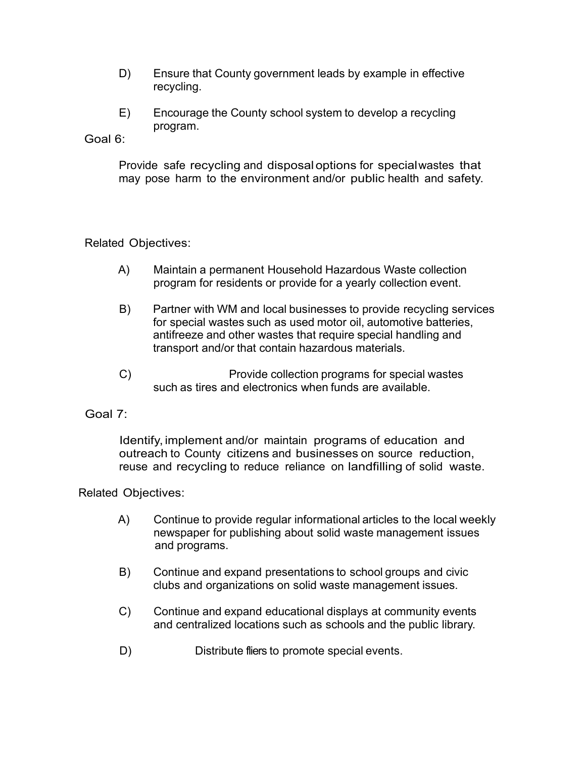- D) Ensure that County government leads by example in effective recycling.
- E) Encourage the County school system to develop a recycling program.

Goal 6:

Provide safe recycling and disposaloptions for special wastes that may pose harm to the environment and/or public health and safety.

#### Related Objectives:

- A) Maintain a permanent Household Hazardous Waste collection program for residents or provide for a yearly collection event.
- B) Partner with WM and local businesses to provide recycling services for special wastes such as used motor oil, automotive batteries, antifreeze and other wastes that require special handling and transport and/or that contain hazardous materials.
- C) Provide collection programs for special wastes such as tires and electronics when funds are available.

## Goal 7:

Identify, implement and/or maintain programs of education and outreach to County citizens and businesses on source reduction, reuse and recycling to reduce reliance on landfilling of solid waste.

- A) Continue to provide regular informational articles to the local weekly newspaper for publishing about solid waste management issues and programs.
- B) Continue and expand presentations to school groups and civic clubs and organizations on solid waste management issues.
- C) Continue and expand educational displays at community events and centralized locations such as schools and the public library.
- D) Distribute fliers to promote special events.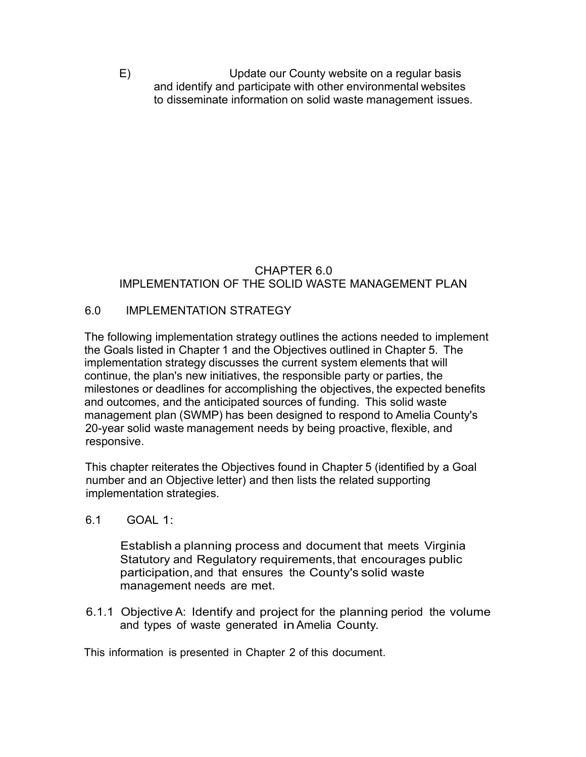E) Update our County website on a regular basis and identify and participate with other environmental websites to disseminate information on solid waste management issues.

## CHAPTER 6.0 IMPLEMENTATION OF THE SOLID WASTE MANAGEMENT PLAN

# 6.0 IMPLEMENTATION STRATEGY

The following implementation strategy outlines the actions needed to implement the Goals listed in Chapter 1 and the Objectives outlined in Chapter 5. The implementation strategy discusses the current system elements that will continue, the plan's new initiatives, the responsible party or parties, the milestones or deadlines for accomplishing the objectives, the expected benefits and outcomes, and the anticipated sources of funding. This solid waste management plan (SWMP) has been designed to respond to Amelia County's 20-year solid waste management needs by being proactive, flexible, and responsive.

This chapter reiterates the Objectives found in Chapter 5 (identified by a Goal number and an Objective letter) and then lists the related supporting implementation strategies.

6.1 GOAL 1:

Establish a planning process and document that meets Virginia Statutory and Regulatory requirements, that encourages public participation, and that ensures the County's solid waste management needs are met.

6.1.1 Objective A: Identify and project for the planning period the volume and types of waste generated in Amelia County.

This information is presented in Chapter 2 of this document.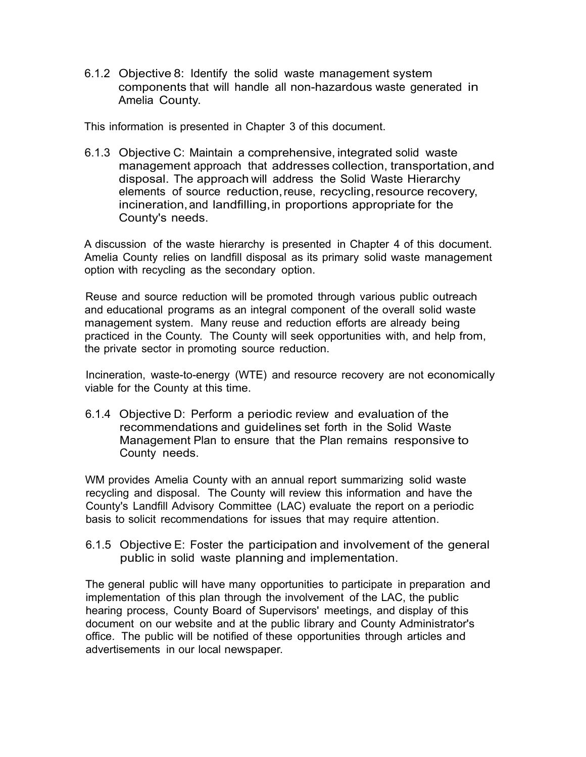6.1.2 Objective 8: Identify the solid waste management system components that will handle all non-hazardous waste generated in Amelia County.

This information is presented in Chapter 3 of this document.

6.1.3 Objective C: Maintain a comprehensive, integrated solid waste management approach that addresses collection, transportation,and disposal. The approach will address the Solid Waste Hierarchy elements of source reduction, reuse, recycling,resource recovery, incineration, and landfilling, in proportions appropriate for the County's needs.

A discussion of the waste hierarchy is presented in Chapter 4 of this document. Amelia County relies on landfill disposal as its primary solid waste management option with recycling as the secondary option.

Reuse and source reduction will be promoted through various public outreach and educational programs as an integral component of the overall solid waste management system. Many reuse and reduction efforts are already being practiced in the County. The County will seek opportunities with, and help from, the private sector in promoting source reduction.

Incineration, waste-to-energy (WTE) and resource recovery are not economically viable for the County at this time.

6.1.4 Objective D: Perform a periodic review and evaluation of the recommendations and guidelines set forth in the Solid Waste Management Plan to ensure that the Plan remains responsive to County needs.

WM provides Amelia County with an annual report summarizing solid waste recycling and disposal. The County will review this information and have the County's Landfill Advisory Committee (LAC) evaluate the report on a periodic basis to solicit recommendations for issues that may require attention.

6.1.5 Objective E: Foster the participation and involvement of the general public in solid waste planning and implementation.

The general public will have many opportunities to participate in preparation and implementation of this plan through the involvement of the LAC, the public hearing process, County Board of Supervisors' meetings, and display of this document on our website and at the public library and County Administrator's office. The public will be notified of these opportunities through articles and advertisements in our local newspaper.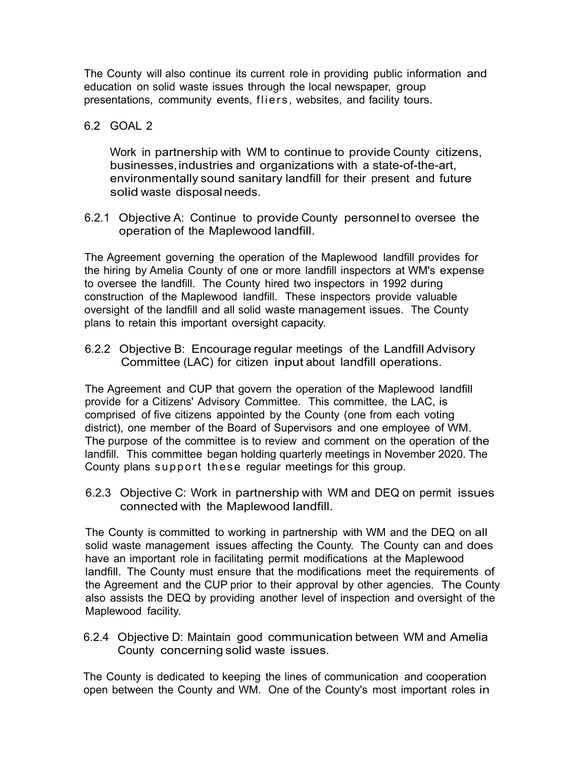The County will also continue its current role in providing public information and education on solid waste issues through the local newspaper, group presentations, community events, fliers, websites, and facility tours.

6.2 GOAL 2

Work in partnership with WM to continue to provide County citizens, businesses,industries and organizations with a state-of-the-art, environmentally sound sanitary landfill for their present and future solid waste disposalneeds.

6.2.1 Objective A: Continue to provide County personnel to oversee the operation of the Maplewood landfill.

The Agreement governing the operation of the Maplewood landfill provides for the hiring by Amelia County of one or more landfill inspectors at WM's expense to oversee the landfill. The County hired two inspectors in 1992 during construction of the Maplewood landfill. These inspectors provide valuable oversight of the landfill and all solid waste management issues. The County plans to retain this important oversight capacity.

6.2.2 Objective B: Encourage regular meetings of the Landfill Advisory Committee (LAC) for citizen input about landfill operations.

The Agreement and CUP that govern the operation of the Maplewood landfill provide for a Citizens' Advisory Committee. This committee, the LAC, is comprised of five citizens appointed by the County (one from each voting district), one member of the Board of Supervisors and one employee of WM. The purpose of the committee is to review and comment on the operation of the landfill. This committee began holding quarterly meetings in November 2020. The County plans support these regular meetings for this group.

6.2.3 Objective C: Work in partnership with WM and DEQ on permit issues connected with the Maplewood landfill.

The County is committed to working in partnership with WM and the DEQ on all solid waste management issues affecting the County. The County can and does have an important role in facilitating permit modifications at the Maplewood landfill. The County must ensure that the modifications meet the requirements of the Agreement and the CUP prior to their approval by other agencies. The County also assists the DEQ by providing another level of inspection and oversight of the Maplewood facility.

6.2.4 Objective D: Maintain good communication between WM and Amelia County concerning solid waste issues.

The County is dedicated to keeping the lines of communication and cooperation open between the County and WM. One of the County's most important roles in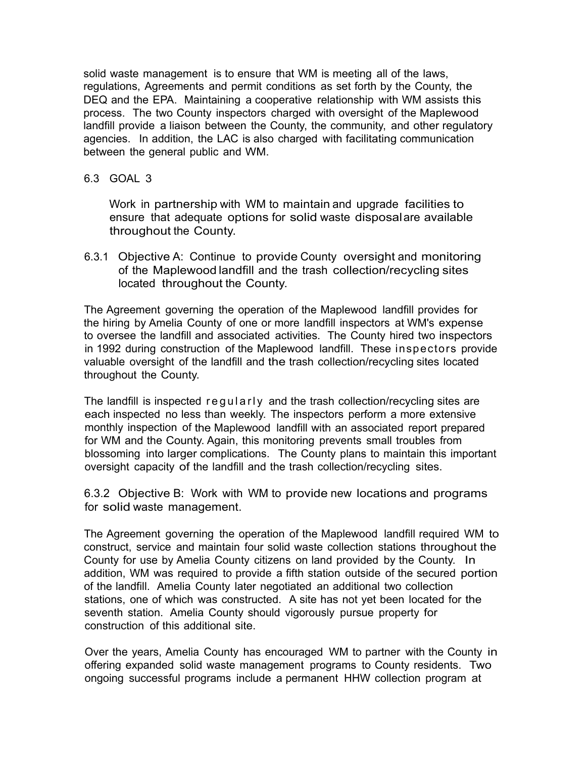solid waste management is to ensure that WM is meeting all of the laws, regulations, Agreements and permit conditions as set forth by the County, the DEQ and the EPA. Maintaining a cooperative relationship with WM assists this process. The two County inspectors charged with oversight of the Maplewood landfill provide a liaison between the County, the community, and other regulatory agencies. In addition, the LAC is also charged with facilitating communication between the general public and WM.

#### 6.3 GOAL 3

Work in partnership with WM to maintain and upgrade facilities to ensure that adequate options for solid waste disposal are available throughout the County.

6.3.1 Objective A: Continue to provide County oversight and monitoring of the Maplewood landfill and the trash collection/recycling sites located throughout the County.

The Agreement governing the operation of the Maplewood landfill provides for the hiring by Amelia County of one or more landfill inspectors at WM's expense to oversee the landfill and associated activities. The County hired two inspectors in 1992 during construction of the Maplewood landfill. These inspectors provide valuable oversight of the landfill and the trash collection/recycling sites located throughout the County.

The landfill is inspected regularly and the trash collection/recycling sites are each inspected no less than weekly. The inspectors perform a more extensive monthly inspection of the Maplewood landfill with an associated report prepared for WM and the County. Again, this monitoring prevents small troubles from blossoming into larger complications. The County plans to maintain this important oversight capacity of the landfill and the trash collection/recycling sites.

6.3.2 Objective B: Work with WM to provide new locations and programs for solid waste management.

The Agreement governing the operation of the Maplewood landfill required WM to construct, service and maintain four solid waste collection stations throughout the County for use by Amelia County citizens on land provided by the County. In addition, WM was required to provide a fifth station outside of the secured portion of the landfill. Amelia County later negotiated an additional two collection stations, one of which was constructed. A site has not yet been located for the seventh station. Amelia County should vigorously pursue property for construction of this additional site.

Over the years, Amelia County has encouraged WM to partner with the County in offering expanded solid waste management programs to County residents. Two ongoing successful programs include a permanent HHW collection program at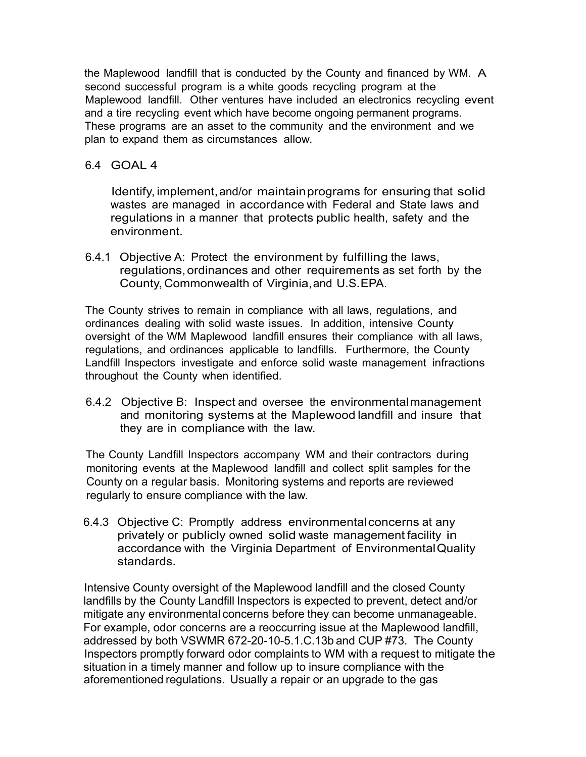the Maplewood landfill that is conducted by the County and financed by WM. A second successful program is a white goods recycling program at the Maplewood landfill. Other ventures have included an electronics recycling event and a tire recycling event which have become ongoing permanent programs. These programs are an asset to the community and the environment and we plan to expand them as circumstances allow.

#### 6.4 GOAL 4

Identify, implement, and/or maintainprograms for ensuring that solid wastes are managed in accordance with Federal and State laws and regulations in a manner that protects public health, safety and the environment.

6.4.1 Objective A: Protect the environment by fulfilling the laws, regulations,ordinances and other requirements as set forth by the County, Commonwealth of Virginia, and U.S.EPA.

The County strives to remain in compliance with all laws, regulations, and ordinances dealing with solid waste issues. In addition, intensive County oversight of the WM Maplewood landfill ensures their compliance with all laws, regulations, and ordinances applicable to landfills. Furthermore, the County Landfill Inspectors investigate and enforce solid waste management infractions throughout the County when identified.

6.4.2 Objective B: Inspect and oversee the environmentalmanagement and monitoring systems at the Maplewood landfill and insure that they are in compliance with the law.

The County Landfill Inspectors accompany WM and their contractors during monitoring events at the Maplewood landfill and collect split samples for the County on a regular basis. Monitoring systems and reports are reviewed regularly to ensure compliance with the law.

6.4.3 Objective C: Promptly address environmentalconcerns at any privately or publicly owned solid waste management facility in accordance with the Virginia Department of EnvironmentalQuality standards.

Intensive County oversight of the Maplewood landfill and the closed County landfills by the County Landfill Inspectors is expected to prevent, detect and/or mitigate any environmental concerns before they can become unmanageable. For example, odor concerns are a reoccurring issue at the Maplewood landfill, addressed by both VSWMR 672-20-10-5.1.C.13b and CUP #73. The County Inspectors promptly forward odor complaints to WM with a request to mitigate the situation in a timely manner and follow up to insure compliance with the aforementioned regulations. Usually a repair or an upgrade to the gas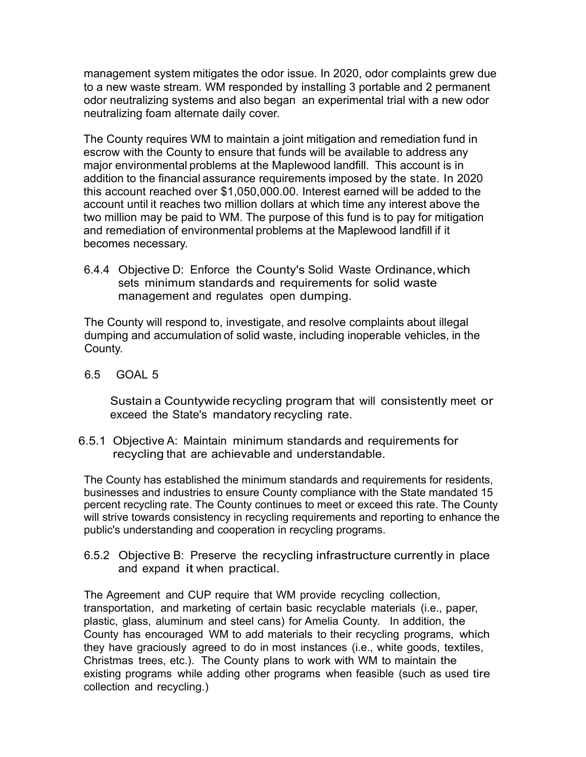management system mitigates the odor issue. In 2020, odor complaints grew due to a new waste stream. WM responded by installing 3 portable and 2 permanent odor neutralizing systems and also began an experimental trial with a new odor neutralizing foam alternate daily cover.

The County requires WM to maintain a joint mitigation and remediation fund in escrow with the County to ensure that funds will be available to address any major environmental problems at the Maplewood landfill. This account is in addition to the financial assurance requirements imposed by the state. In 2020 this account reached over \$1,050,000.00. Interest earned will be added to the account until it reaches two million dollars at which time any interest above the two million may be paid to WM. The purpose of this fund is to pay for mitigation and remediation of environmental problems at the Maplewood landfill if it becomes necessary.

6.4.4 Objective D: Enforce the County's Solid Waste Ordinance,which sets minimum standards and requirements for solid waste management and regulates open dumping.

The County will respond to, investigate, and resolve complaints about illegal dumping and accumulation of solid waste, including inoperable vehicles, in the County.

6.5 GOAL 5

Sustain a Countywide recycling program that will consistently meet or exceed the State's mandatory recycling rate.

6.5.1 Objective A: Maintain minimum standards and requirements for recycling that are achievable and understandable.

The County has established the minimum standards and requirements for residents, businesses and industries to ensure County compliance with the State mandated 15 percent recycling rate. The County continues to meet or exceed this rate. The County will strive towards consistency in recycling requirements and reporting to enhance the public's understanding and cooperation in recycling programs.

6.5.2 Objective B: Preserve the recycling infrastructure currently in place and expand it when practical.

The Agreement and CUP require that WM provide recycling collection, transportation, and marketing of certain basic recyclable materials (i.e., paper, plastic, glass, aluminum and steel cans) for Amelia County. In addition, the County has encouraged WM to add materials to their recycling programs, which they have graciously agreed to do in most instances (i.e., white goods, textiles, Christmas trees, etc.). The County plans to work with WM to maintain the existing programs while adding other programs when feasible (such as used tire collection and recycling.)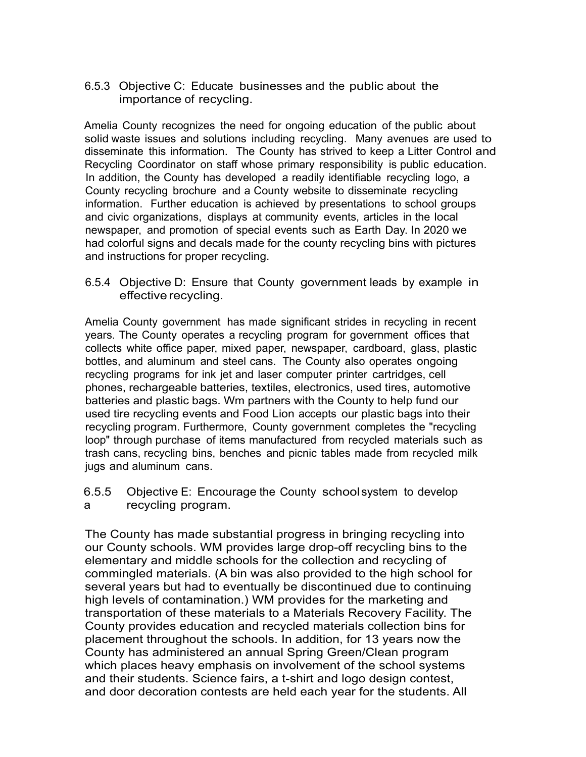6.5.3 Objective C: Educate businesses and the public about the importance of recycling.

Amelia County recognizes the need for ongoing education of the public about solid waste issues and solutions including recycling. Many avenues are used to disseminate this information. The County has strived to keep a Litter Control and Recycling Coordinator on staff whose primary responsibility is public education. In addition, the County has developed a readily identifiable recycling logo, a County recycling brochure and a County website to disseminate recycling information. Further education is achieved by presentations to school groups and civic organizations, displays at community events, articles in the local newspaper, and promotion of special events such as Earth Day. In 2020 we had colorful signs and decals made for the county recycling bins with pictures and instructions for proper recycling.

6.5.4 Objective D: Ensure that County government leads by example in effective recycling.

Amelia County government has made significant strides in recycling in recent years. The County operates a recycling program for government offices that collects white office paper, mixed paper, newspaper, cardboard, glass, plastic bottles, and aluminum and steel cans. The County also operates ongoing recycling programs for ink jet and laser computer printer cartridges, cell phones, rechargeable batteries, textiles, electronics, used tires, automotive batteries and plastic bags. Wm partners with the County to help fund our used tire recycling events and Food Lion accepts our plastic bags into their recycling program. Furthermore, County government completes the "recycling loop" through purchase of items manufactured from recycled materials such as trash cans, recycling bins, benches and picnic tables made from recycled milk jugs and aluminum cans.

6.5.5 Objective E: Encourage the County school system to develop a recycling program.

The County has made substantial progress in bringing recycling into our County schools. WM provides large drop-off recycling bins to the elementary and middle schools for the collection and recycling of commingled materials. (A bin was also provided to the high school for several years but had to eventually be discontinued due to continuing high levels of contamination.) WM provides for the marketing and transportation of these materials to a Materials Recovery Facility. The County provides education and recycled materials collection bins for placement throughout the schools. In addition, for 13 years now the County has administered an annual Spring Green/Clean program which places heavy emphasis on involvement of the school systems and their students. Science fairs, a t-shirt and logo design contest, and door decoration contests are held each year for the students. All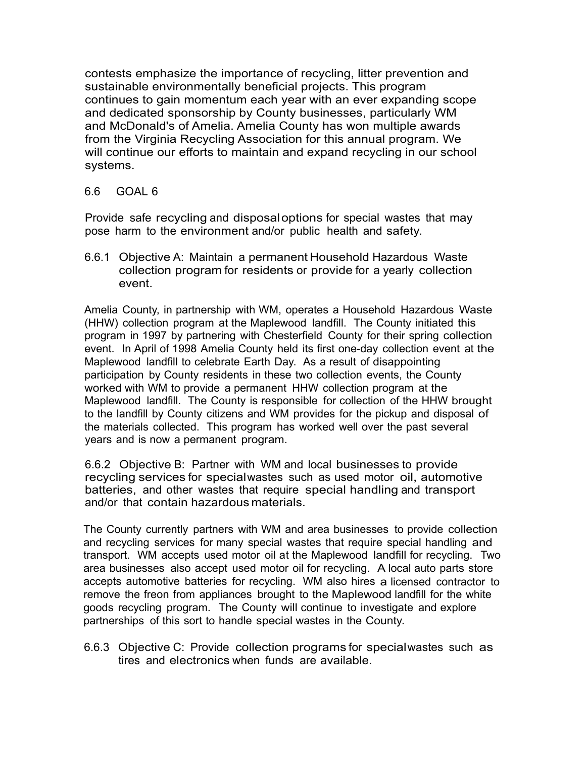contests emphasize the importance of recycling, litter prevention and sustainable environmentally beneficial projects. This program continues to gain momentum each year with an ever expanding scope and dedicated sponsorship by County businesses, particularly WM and McDonald's of Amelia. Amelia County has won multiple awards from the Virginia Recycling Association for this annual program. We will continue our efforts to maintain and expand recycling in our school systems.

6.6GOAL 6

Provide safe recycling and disposaloptions for special wastes that may pose harm to the environment and/or public health and safety.

6.6.1 Objective A: Maintain a permanent Household Hazardous Waste collection program for residents or provide for a yearly collection event.

Amelia County, in partnership with WM, operates a Household Hazardous Waste (HHW) collection program at the Maplewood landfill. The County initiated this program in 1997 by partnering with Chesterfield County for their spring collection event. In April of 1998 Amelia County held its first one-day collection event at the Maplewood landfill to celebrate Earth Day. As a result of disappointing participation by County residents in these two collection events, the County worked with WM to provide a permanent HHW collection program at the Maplewood landfill. The County is responsible for collection of the HHW brought to the landfill by County citizens and WM provides for the pickup and disposal of the materials collected. This program has worked well over the past several years and is now a permanent program.

6.6.2 Objective B: Partner with WM and local businesses to provide recycling services for special wastes such as used motor oil, automotive batteries, and other wastes that require special handling and transport and/or that contain hazardous materials.

The County currently partners with WM and area businesses to provide collection and recycling services for many special wastes that require special handling and transport. WM accepts used motor oil at the Maplewood landfill for recycling. Two area businesses also accept used motor oil for recycling. A local auto parts store accepts automotive batteries for recycling. WM also hires a licensed contractor to remove the freon from appliances brought to the Maplewood landfill for the white goods recycling program. The County will continue to investigate and explore partnerships of this sort to handle special wastes in the County.

6.6.3 Objective C: Provide collection programs for special wastes such as tires and electronics when funds are available.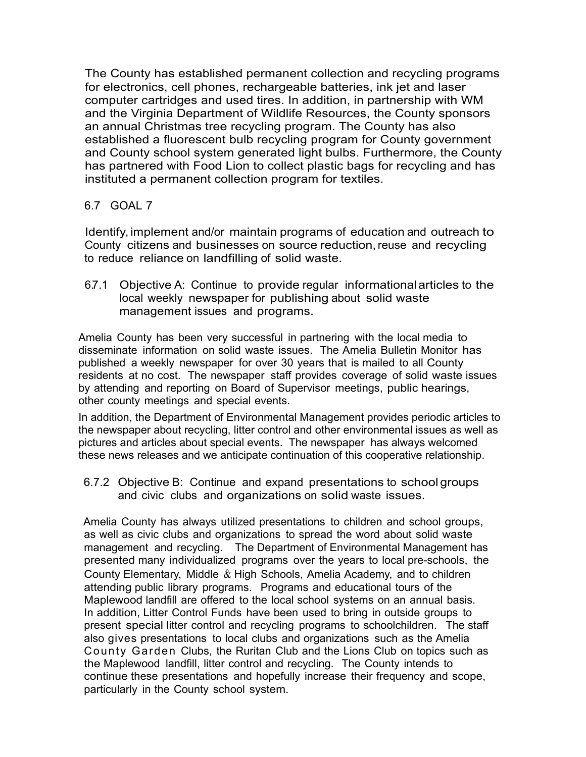The County has established permanent collection and recycling programs for electronics, cell phones, rechargeable batteries, ink jet and laser computer cartridges and used tires. In addition, in partnership with WM and the Virginia Department of Wildlife Resources, the County sponsors an annual Christmas tree recycling program. The County has also established a fluorescent bulb recycling program for County government and County school system generated light bulbs. Furthermore, the County has partnered with Food Lion to collect plastic bags for recycling and has instituted a permanent collection program for textiles.

## 6.7 GOAL 7

Identify, implement and/or maintain programs of education and outreach to County citizens and businesses on source reduction, reuse and recycling to reduce reliance on landfilling of solid waste.

6.7.1 Objective A: Continue to provide regular informationalarticles to the local weekly newspaper for publishing about solid waste management issues and programs.

Amelia County has been very successful in partnering with the local media to disseminate information on solid waste issues. The Amelia Bulletin Monitor has published a weekly newspaper for over 30 years that is mailed to all County residents at no cost. The newspaper staff provides coverage of solid waste issues by attending and reporting on Board of Supervisor meetings, public hearings, other county meetings and special events.

In addition, the Department of Environmental Management provides periodic articles to the newspaper about recycling, litter control and other environmental issues as well as pictures and articles about special events. The newspaper has always welcomed these news releases and we anticipate continuation of this cooperative relationship.

6.7.2 Objective B: Continue and expand presentations to school groups and civic clubs and organizations on solid waste issues.

Amelia County has always utilized presentations to children and school groups, as well as civic clubs and organizations to spread the word about solid waste management and recycling. The Department of Environmental Management has presented many individualized programs over the years to local pre-schools, the County Elementary, Middle & High Schools, Amelia Academy, and to children attending public library programs. Programs and educational tours of the Maplewood landfill are offered to the local school systems on an annual basis. In addition, Litter Control Funds have been used to bring in outside groups to present special litter control and recycling programs to schoolchildren. The staff also gives presentations to local clubs and organizations such as the Amelia County Garden Clubs, the Ruritan Club and the Lions Club on topics such as the Maplewood landfill, litter control and recycling. The County intends to continue these presentations and hopefully increase their frequency and scope, particularly in the County school system.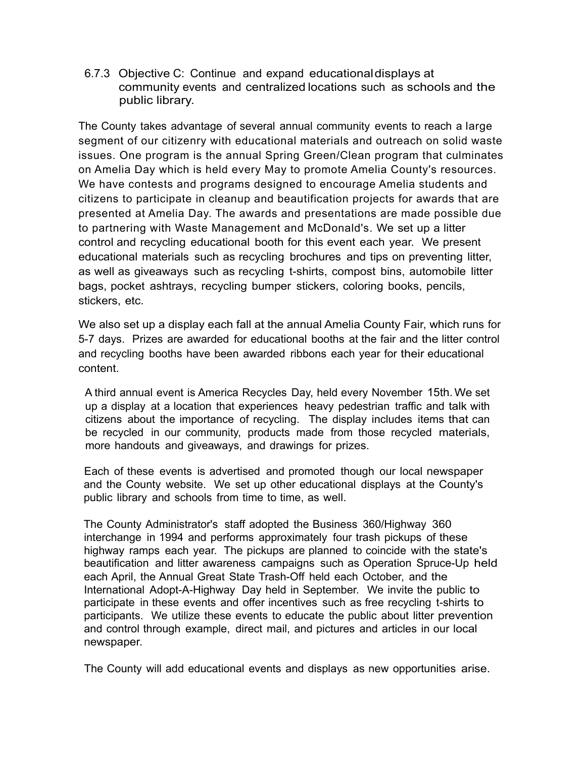6.7.3 Objective C: Continue and expand educationaldisplays at community events and centralized locations such as schools and the public library.

The County takes advantage of several annual community events to reach a large segment of our citizenry with educational materials and outreach on solid waste issues. One program is the annual Spring Green/Clean program that culminates on Amelia Day which is held every May to promote Amelia County's resources. We have contests and programs designed to encourage Amelia students and citizens to participate in cleanup and beautification projects for awards that are presented at Amelia Day. The awards and presentations are made possible due to partnering with Waste Management and McDonald's. We set up a litter control and recycling educational booth for this event each year. We present educational materials such as recycling brochures and tips on preventing litter, as well as giveaways such as recycling t-shirts, compost bins, automobile litter bags, pocket ashtrays, recycling bumper stickers, coloring books, pencils, stickers, etc.

We also set up a display each fall at the annual Amelia County Fair, which runs for 5-7 days. Prizes are awarded for educational booths at the fair and the litter control and recycling booths have been awarded ribbons each year for their educational content.

A third annual event is America Recycles Day, held every November 15th. We set up a display at a location that experiences heavy pedestrian traffic and talk with citizens about the importance of recycling. The display includes items that can be recycled in our community, products made from those recycled materials, more handouts and giveaways, and drawings for prizes.

Each of these events is advertised and promoted though our local newspaper and the County website. We set up other educational displays at the County's public library and schools from time to time, as well.

The County Administrator's staff adopted the Business 360/Highway 360 interchange in 1994 and performs approximately four trash pickups of these highway ramps each year. The pickups are planned to coincide with the state's beautification and litter awareness campaigns such as Operation Spruce-Up held each April, the Annual Great State Trash-Off held each October, and the International Adopt-A-Highway Day held in September. We invite the public to participate in these events and offer incentives such as free recycling t-shirts to participants. We utilize these events to educate the public about litter prevention and control through example, direct mail, and pictures and articles in our local newspaper.

The County will add educational events and displays as new opportunities arise.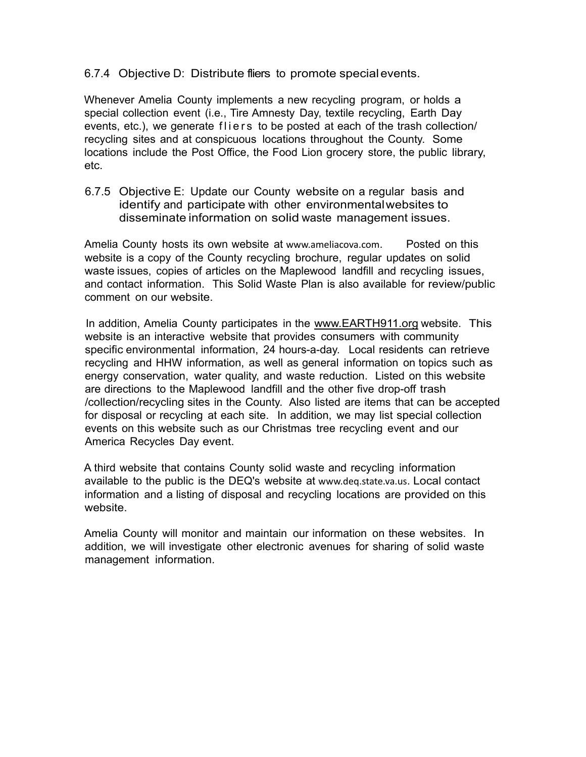6.7.4 Objective D: Distribute fliers to promote specialevents.

Whenever Amelia County implements a new recycling program, or holds a special collection event (i.e., Tire Amnesty Day, textile recycling, Earth Day events, etc.), we generate fliers to be posted at each of the trash collection/ recycling sites and at conspicuous locations throughout the County. Some locations include the Post Office, the Food Lion grocery store, the public library, etc.

6.7.5 Objective E: Update our County website on a regular basis and identify and participate with other environmentalwebsites to disseminate information on solid waste management issues.

Amelia County hosts its own website at www.ameliacova.com. Posted on this website is a copy of the County recycling brochure, regular updates on solid waste issues, copies of articles on the Maplewood landfill and recycling issues, and contact information. This Solid Waste Plan is also available for review/public comment on our website.

In addition, Amelia County participates in the www.EARTH911.org website. This website is an interactive website that provides consumers with community specific environmental information, 24 hours-a-day. Local residents can retrieve recycling and HHW information, as well as general information on topics such as energy conservation, water quality, and waste reduction. Listed on this website are directions to the Maplewood landfill and the other five drop-off trash /collection/recycling sites in the County. Also listed are items that can be accepted for disposal or recycling at each site. In addition, we may list special collection events on this website such as our Christmas tree recycling event and our America Recycles Day event.

A third website that contains County solid waste and recycling information available to the public is the DEQ's website at www.deq.state.va.us. Local contact information and a listing of disposal and recycling locations are provided on this website.

Amelia County will monitor and maintain our information on these websites. In addition, we will investigate other electronic avenues for sharing of solid waste management information.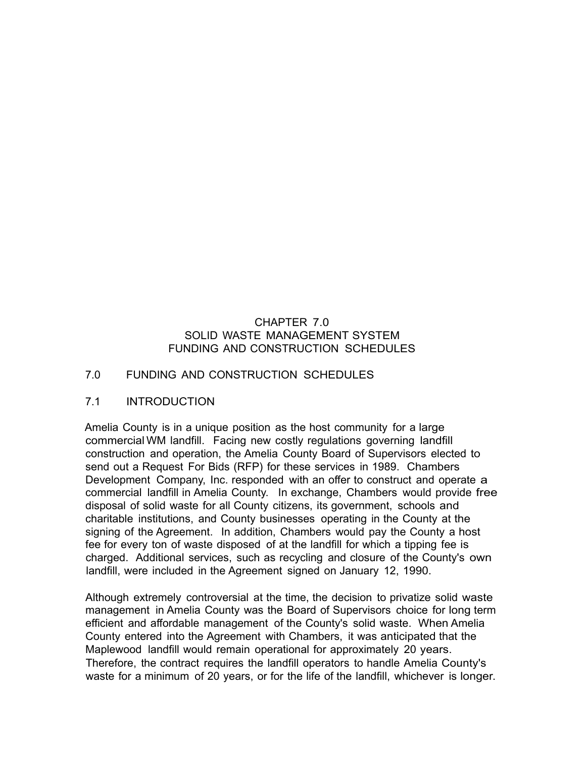## CHAPTER 7.0 SOLID WASTE MANAGEMENT SYSTEM FUNDING AND CONSTRUCTION SCHEDULES

#### 7.0 FUNDING AND CONSTRUCTION SCHEDULES

#### 7.1 INTRODUCTION

Amelia County is in a unique position as the host community for a large commercial WM landfill. Facing new costly regulations governing landfill construction and operation, the Amelia County Board of Supervisors elected to send out a Request For Bids (RFP) for these services in 1989. Chambers Development Company, Inc. responded with an offer to construct and operate a commercial landfill in Amelia County. In exchange, Chambers would provide free disposal of solid waste for all County citizens, its government, schools and charitable institutions, and County businesses operating in the County at the signing of the Agreement. In addition, Chambers would pay the County a host fee for every ton of waste disposed of at the landfill for which a tipping fee is charged. Additional services, such as recycling and closure of the County's own landfill, were included in the Agreement signed on January 12, 1990.

Although extremely controversial at the time, the decision to privatize solid waste management in Amelia County was the Board of Supervisors choice for long term efficient and affordable management of the County's solid waste. When Amelia County entered into the Agreement with Chambers, it was anticipated that the Maplewood landfill would remain operational for approximately 20 years. Therefore, the contract requires the landfill operators to handle Amelia County's waste for a minimum of 20 years, or for the life of the landfill, whichever is longer.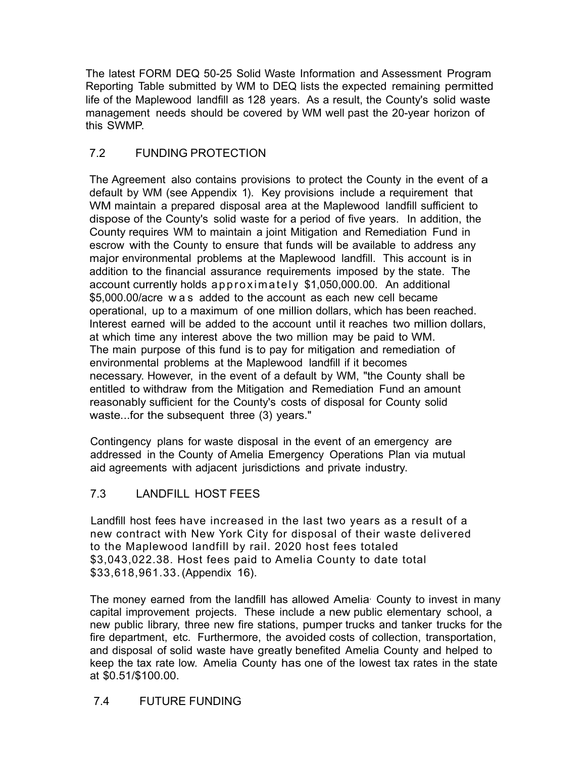The latest FORM DEQ 50-25 Solid Waste Information and Assessment Program Reporting Table submitted by WM to DEQ lists the expected remaining permitted life of the Maplewood landfill as 128 years. As a result, the County's solid waste management needs should be covered by WM well past the 20-year horizon of this SWMP.

# 7.2 FUNDING PROTECTION

The Agreement also contains provisions to protect the County in the event of a default by WM (see Appendix 1). Key provisions include a requirement that WM maintain a prepared disposal area at the Maplewood landfill sufficient to dispose of the County's solid waste for a period of five years. In addition, the County requires WM to maintain a joint Mitigation and Remediation Fund in escrow with the County to ensure that funds will be available to address any major environmental problems at the Maplewood landfill. This account is in addition to the financial assurance requirements imposed by the state. The account currently holds ap pro xim ately \$1,050,000.00. An additional \$5,000.00/acre w a s added to the account as each new cell became operational, up to a maximum of one million dollars, which has been reached. Interest earned will be added to the account until it reaches two million dollars, at which time any interest above the two million may be paid to WM. The main purpose of this fund is to pay for mitigation and remediation of environmental problems at the Maplewood landfill if it becomes necessary. However, in the event of a default by WM, "the County shall be entitled to withdraw from the Mitigation and Remediation Fund an amount reasonably sufficient for the County's costs of disposal for County solid waste...for the subsequent three (3) years."

Contingency plans for waste disposal in the event of an emergency are addressed in the County of Amelia Emergency Operations Plan via mutual aid agreements with adjacent jurisdictions and private industry.

# 7.3 LANDFILL HOST FEES

Landfill host fees have increased in the last two years as a result of a new contract with New York City for disposal of their waste delivered to the Maplewood landfill by rail. 2020 host fees totaled \$3,043,022.38. Host fees paid to Amelia County to date total \$33,618,961.33. (Appendix 16).

The money earned from the landfill has allowed Amelia County to invest in many capital improvement projects. These include a new public elementary school, a new public library, three new fire stations, pumper trucks and tanker trucks for the fire department, etc. Furthermore, the avoided costs of collection, transportation, and disposal of solid waste have greatly benefited Amelia County and helped to keep the tax rate low. Amelia County has one of the lowest tax rates in the state at \$0.51/\$100.00.

# 7.4 FUTURE FUNDING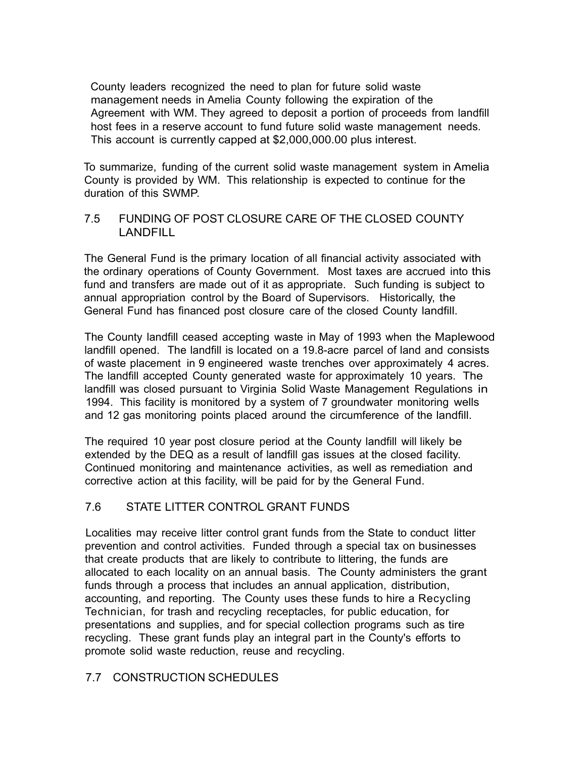County leaders recognized the need to plan for future solid waste management needs in Amelia County following the expiration of the Agreement with WM. They agreed to deposit a portion of proceeds from landfill host fees in a reserve account to fund future solid waste management needs. This account is currently capped at \$2,000,000.00 plus interest.

To summarize, funding of the current solid waste management system in Amelia County is provided by WM. This relationship is expected to continue for the duration of this SWMP.

## 7.5 FUNDING OF POST CLOSURE CARE OF THE CLOSED COUNTY LANDFILL

The General Fund is the primary location of all financial activity associated with the ordinary operations of County Government. Most taxes are accrued into this fund and transfers are made out of it as appropriate. Such funding is subject to annual appropriation control by the Board of Supervisors. Historically, the General Fund has financed post closure care of the closed County landfill.

The County landfill ceased accepting waste in May of 1993 when the Maplewood landfill opened. The landfill is located on a 19.8-acre parcel of land and consists of waste placement in 9 engineered waste trenches over approximately 4 acres. The landfill accepted County generated waste for approximately 10 years. The landfill was closed pursuant to Virginia Solid Waste Management Regulations in 1994. This facility is monitored by a system of 7 groundwater monitoring wells and 12 gas monitoring points placed around the circumference of the landfill.

The required 10 year post closure period at the County landfill will likely be extended by the DEQ as a result of landfill gas issues at the closed facility. Continued monitoring and maintenance activities, as well as remediation and corrective action at this facility, will be paid for by the General Fund.

# 7.6 STATE LITTER CONTROL GRANT FUNDS

Localities may receive litter control grant funds from the State to conduct litter prevention and control activities. Funded through a special tax on businesses that create products that are likely to contribute to littering, the funds are allocated to each locality on an annual basis. The County administers the grant funds through a process that includes an annual application, distribution, accounting, and reporting. The County uses these funds to hire a Recycling Technician, for trash and recycling receptacles, for public education, for presentations and supplies, and for special collection programs such as tire recycling. These grant funds play an integral part in the County's efforts to promote solid waste reduction, reuse and recycling.

# 7.7 CONSTRUCTION SCHEDULES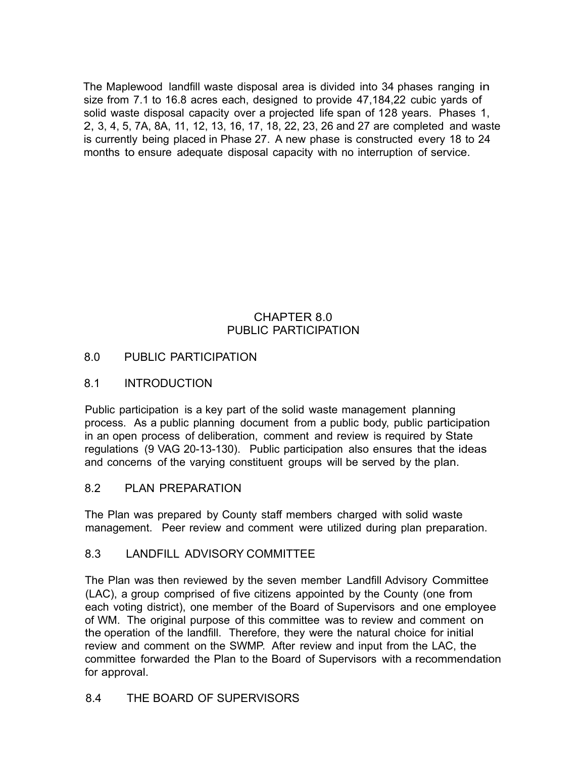The Maplewood landfill waste disposal area is divided into 34 phases ranging in size from 7.1 to 16.8 acres each, designed to provide 47,184,22 cubic yards of solid waste disposal capacity over a projected life span of 128 years. Phases 1, 2, 3, 4, 5, 7A, 8A, 11, 12, 13, 16, 17, 18, 22, 23, 26 and 27 are completed and waste is currently being placed in Phase 27. A new phase is constructed every 18 to 24 months to ensure adequate disposal capacity with no interruption of service.

# CHAPTER 8.0 PUBLIC PARTICIPATION

# 8.0 PUBLIC PARTICIPATION

## 8.1 INTRODUCTION

Public participation is a key part of the solid waste management planning process. As a public planning document from a public body, public participation in an open process of deliberation, comment and review is required by State regulations (9 VAG 20-13-130). Public participation also ensures that the ideas and concerns of the varying constituent groups will be served by the plan.

## 8.2 PLAN PREPARATION

The Plan was prepared by County staff members charged with solid waste management. Peer review and comment were utilized during plan preparation.

## 8.3 LANDFILL ADVISORY COMMITTEE

The Plan was then reviewed by the seven member Landfill Advisory Committee (LAC), a group comprised of five citizens appointed by the County (one from each voting district), one member of the Board of Supervisors and one employee of WM. The original purpose of this committee was to review and comment on the operation of the landfill. Therefore, they were the natural choice for initial review and comment on the SWMP. After review and input from the LAC, the committee forwarded the Plan to the Board of Supervisors with a recommendation for approval.

# 8.4 THE BOARD OF SUPERVISORS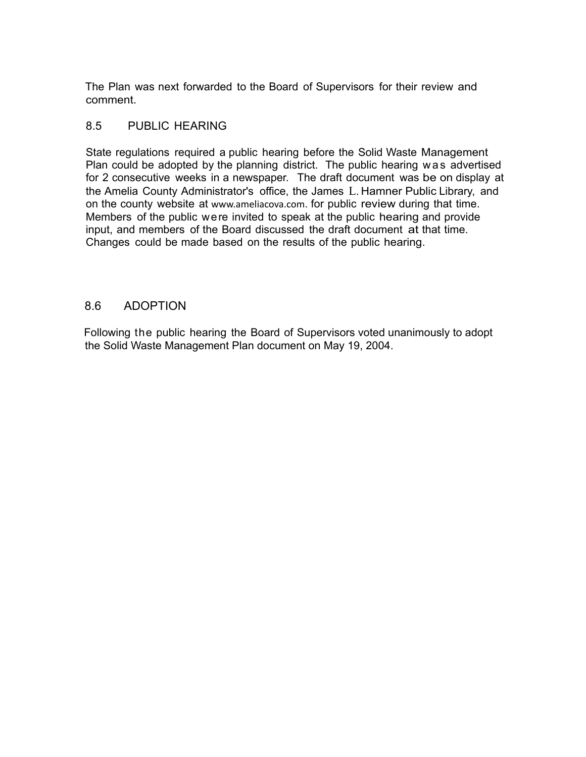The Plan was next forwarded to the Board of Supervisors for their review and comment.

## 8.5 PUBLIC HEARING

State regulations required a public hearing before the Solid Waste Management Plan could be adopted by the planning district. The public hearing was advertised for 2 consecutive weeks in a newspaper. The draft document was be on display at the Amelia County Administrator's office, the James L. Hamner Public Library, and on the county website at www.ameliacova.com. for public review during that time. Members of the public were invited to speak at the public hearing and provide input, and members of the Board discussed the draft document at that time. Changes could be made based on the results of the public hearing.

# 8.6 ADOPTION

Following the public hearing the Board of Supervisors voted unanimously to adopt the Solid Waste Management Plan document on May 19, 2004.